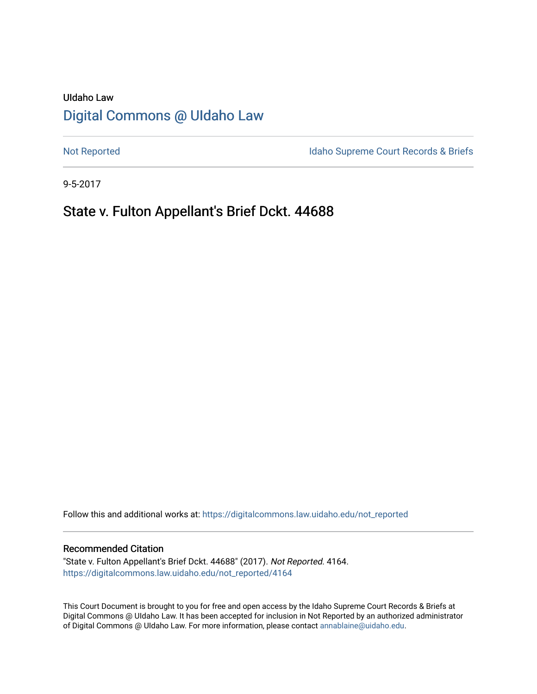# UIdaho Law [Digital Commons @ UIdaho Law](https://digitalcommons.law.uidaho.edu/)

[Not Reported](https://digitalcommons.law.uidaho.edu/not_reported) **Idaho Supreme Court Records & Briefs** 

9-5-2017

# State v. Fulton Appellant's Brief Dckt. 44688

Follow this and additional works at: [https://digitalcommons.law.uidaho.edu/not\\_reported](https://digitalcommons.law.uidaho.edu/not_reported?utm_source=digitalcommons.law.uidaho.edu%2Fnot_reported%2F4164&utm_medium=PDF&utm_campaign=PDFCoverPages) 

#### Recommended Citation

"State v. Fulton Appellant's Brief Dckt. 44688" (2017). Not Reported. 4164. [https://digitalcommons.law.uidaho.edu/not\\_reported/4164](https://digitalcommons.law.uidaho.edu/not_reported/4164?utm_source=digitalcommons.law.uidaho.edu%2Fnot_reported%2F4164&utm_medium=PDF&utm_campaign=PDFCoverPages)

This Court Document is brought to you for free and open access by the Idaho Supreme Court Records & Briefs at Digital Commons @ UIdaho Law. It has been accepted for inclusion in Not Reported by an authorized administrator of Digital Commons @ UIdaho Law. For more information, please contact [annablaine@uidaho.edu](mailto:annablaine@uidaho.edu).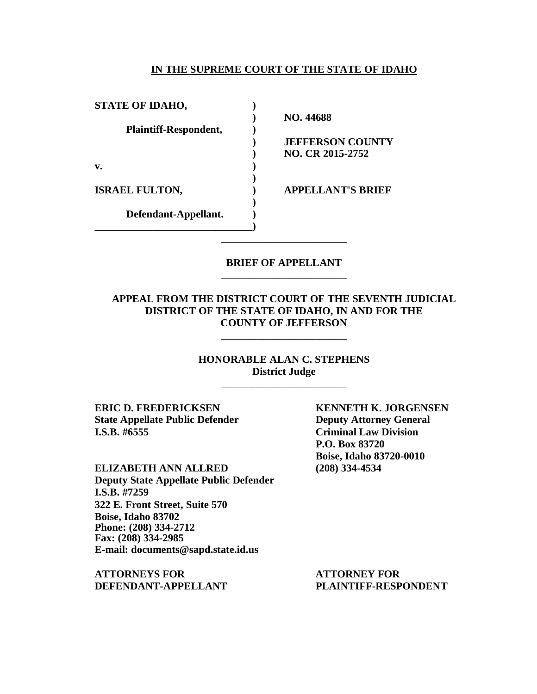#### **IN THE SUPREME COURT OF THE STATE OF IDAHO**

| <b>STATE OF IDAHO,</b>       |                          |
|------------------------------|--------------------------|
|                              | NO. 44688                |
| <b>Plaintiff-Respondent,</b> |                          |
|                              | <b>JEFFERSON COUNTY</b>  |
|                              | <b>NO. CR 2015-2752</b>  |
| v.                           |                          |
|                              |                          |
| <b>ISRAEL FULTON,</b>        | <b>APPELLANT'S BRIEF</b> |
|                              |                          |
| Defendant-Appellant.         |                          |
|                              |                          |
|                              |                          |

## **BRIEF OF APPELLANT** \_\_\_\_\_\_\_\_\_\_\_\_\_\_\_\_\_\_\_\_\_\_\_\_

# **APPEAL FROM THE DISTRICT COURT OF THE SEVENTH JUDICIAL DISTRICT OF THE STATE OF IDAHO, IN AND FOR THE COUNTY OF JEFFERSON**

\_\_\_\_\_\_\_\_\_\_\_\_\_\_\_\_\_\_\_\_\_\_\_\_

**HONORABLE ALAN C. STEPHENS District Judge** \_\_\_\_\_\_\_\_\_\_\_\_\_\_\_\_\_\_\_\_\_\_\_\_

**ERIC D. FREDERICKSEN KENNETH K. JORGENSEN State Appellate Public Defender Deputy Attorney General I.S.B. #6555 Criminal Law Division**

**ELIZABETH ANN ALLRED (208) 334-4534 Deputy State Appellate Public Defender I.S.B. #7259 322 E. Front Street, Suite 570 Boise, Idaho 83702 Phone: (208) 334-2712 Fax: (208) 334-2985 E-mail: documents@sapd.state.id.us**

**ATTORNEYS FOR ATTORNEY FOR DEFENDANT-APPELLANT PLAINTIFF-RESPONDENT**

**P.O. Box 83720 Boise, Idaho 83720-0010**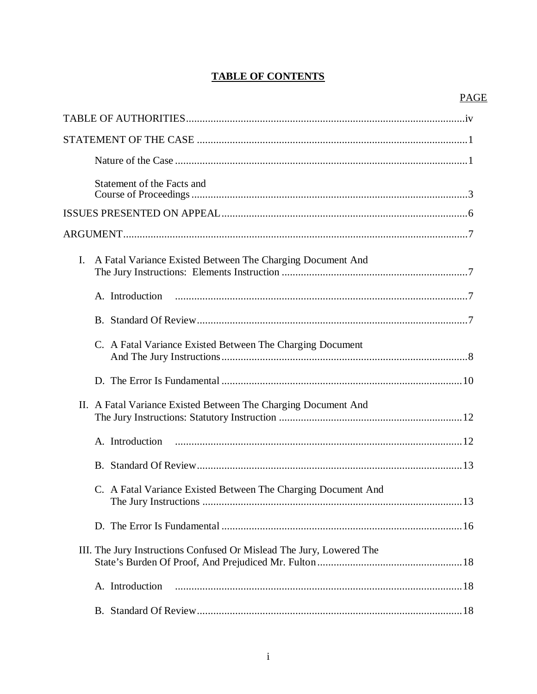# **TABLE OF CONTENTS**

|                | Statement of the Facts and                                           |    |
|----------------|----------------------------------------------------------------------|----|
|                |                                                                      |    |
|                |                                                                      |    |
| $\mathbf{I}$ . | A Fatal Variance Existed Between The Charging Document And           |    |
|                |                                                                      |    |
|                |                                                                      |    |
|                | C. A Fatal Variance Existed Between The Charging Document            |    |
|                |                                                                      |    |
|                | II. A Fatal Variance Existed Between The Charging Document And       |    |
|                | A. Introduction                                                      |    |
|                |                                                                      |    |
|                | C. A Fatal Variance Existed Between The Charging Document And        | 13 |
|                |                                                                      |    |
|                | III. The Jury Instructions Confused Or Mislead The Jury, Lowered The |    |
|                | A. Introduction                                                      |    |
|                |                                                                      |    |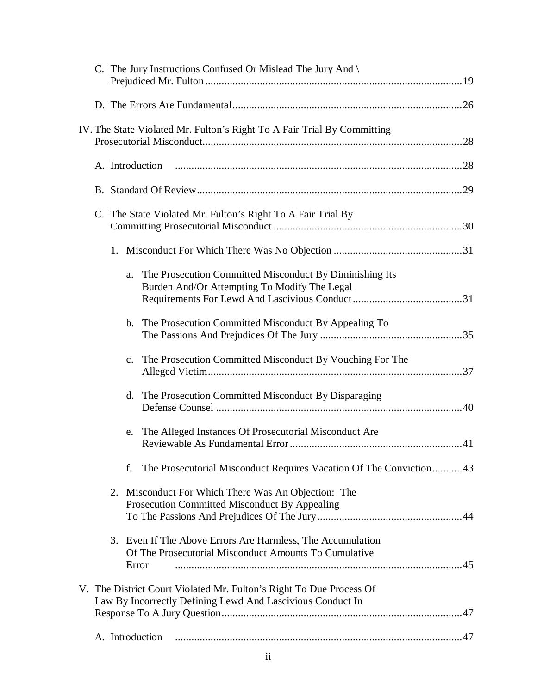| C. The Jury Instructions Confused Or Mislead The Jury And $\langle$                                                               |
|-----------------------------------------------------------------------------------------------------------------------------------|
|                                                                                                                                   |
| IV. The State Violated Mr. Fulton's Right To A Fair Trial By Committing                                                           |
|                                                                                                                                   |
|                                                                                                                                   |
| C. The State Violated Mr. Fulton's Right To A Fair Trial By                                                                       |
|                                                                                                                                   |
| The Prosecution Committed Misconduct By Diminishing Its<br>a.<br>Burden And/Or Attempting To Modify The Legal                     |
| The Prosecution Committed Misconduct By Appealing To<br>b.                                                                        |
| c. The Prosecution Committed Misconduct By Vouching For The                                                                       |
| d. The Prosecution Committed Misconduct By Disparaging                                                                            |
| e. The Alleged Instances Of Prosecutorial Misconduct Are                                                                          |
| The Prosecutorial Misconduct Requires Vacation Of The Conviction43<br>f.                                                          |
| 2. Misconduct For Which There Was An Objection: The<br>Prosecution Committed Misconduct By Appealing                              |
| 3. Even If The Above Errors Are Harmless, The Accumulation<br>Of The Prosecutorial Misconduct Amounts To Cumulative<br>Error      |
| V. The District Court Violated Mr. Fulton's Right To Due Process Of<br>Law By Incorrectly Defining Lewd And Lascivious Conduct In |
| A. Introduction                                                                                                                   |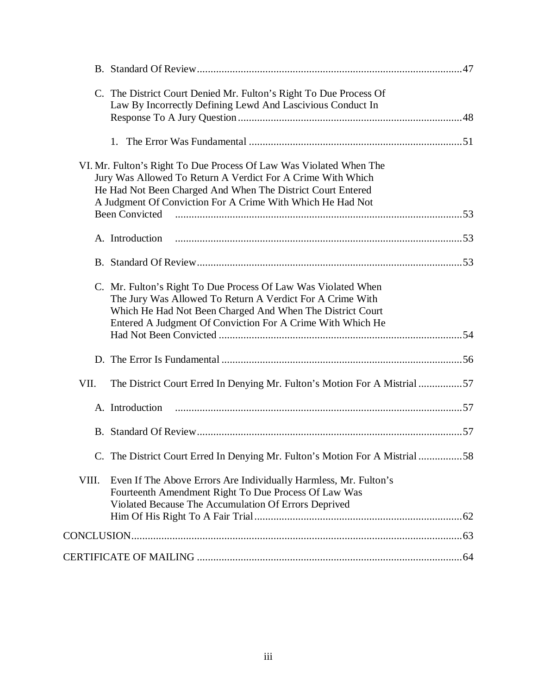| C. The District Court Denied Mr. Fulton's Right To Due Process Of<br>Law By Incorrectly Defining Lewd And Lascivious Conduct In                                                                                                                                |  |
|----------------------------------------------------------------------------------------------------------------------------------------------------------------------------------------------------------------------------------------------------------------|--|
|                                                                                                                                                                                                                                                                |  |
| VI. Mr. Fulton's Right To Due Process Of Law Was Violated When The<br>Jury Was Allowed To Return A Verdict For A Crime With Which<br>He Had Not Been Charged And When The District Court Entered<br>A Judgment Of Conviction For A Crime With Which He Had Not |  |
|                                                                                                                                                                                                                                                                |  |
| A. Introduction                                                                                                                                                                                                                                                |  |
|                                                                                                                                                                                                                                                                |  |
| C. Mr. Fulton's Right To Due Process Of Law Was Violated When<br>The Jury Was Allowed To Return A Verdict For A Crime With<br>Which He Had Not Been Charged And When The District Court<br>Entered A Judgment Of Conviction For A Crime With Which He          |  |
|                                                                                                                                                                                                                                                                |  |
|                                                                                                                                                                                                                                                                |  |
| The District Court Erred In Denying Mr. Fulton's Motion For A Mistrial 57<br>VII.                                                                                                                                                                              |  |
| A. Introduction                                                                                                                                                                                                                                                |  |
|                                                                                                                                                                                                                                                                |  |
| C. The District Court Erred In Denying Mr. Fulton's Motion For A Mistrial 58                                                                                                                                                                                   |  |
| VIII.<br>Even If The Above Errors Are Individually Harmless, Mr. Fulton's<br>Fourteenth Amendment Right To Due Process Of Law Was                                                                                                                              |  |
| Violated Because The Accumulation Of Errors Deprived                                                                                                                                                                                                           |  |
|                                                                                                                                                                                                                                                                |  |
|                                                                                                                                                                                                                                                                |  |
|                                                                                                                                                                                                                                                                |  |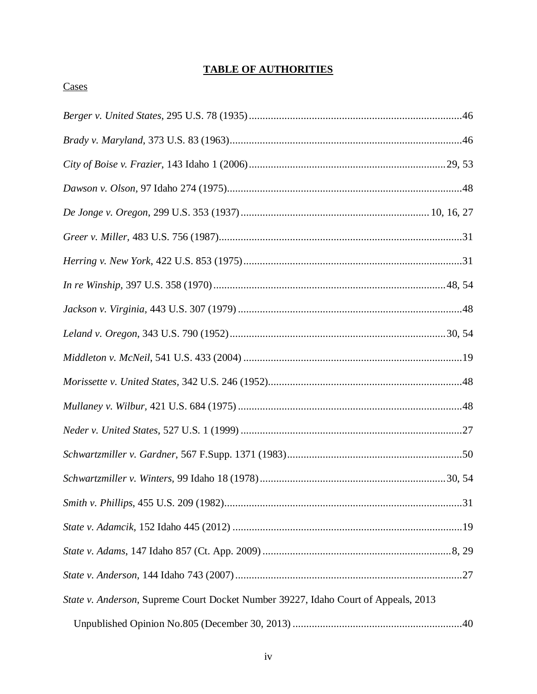# **TABLE OF AUTHORITIES**

# Cases

| State v. Anderson, Supreme Court Docket Number 39227, Idaho Court of Appeals, 2013 |  |
|------------------------------------------------------------------------------------|--|
|                                                                                    |  |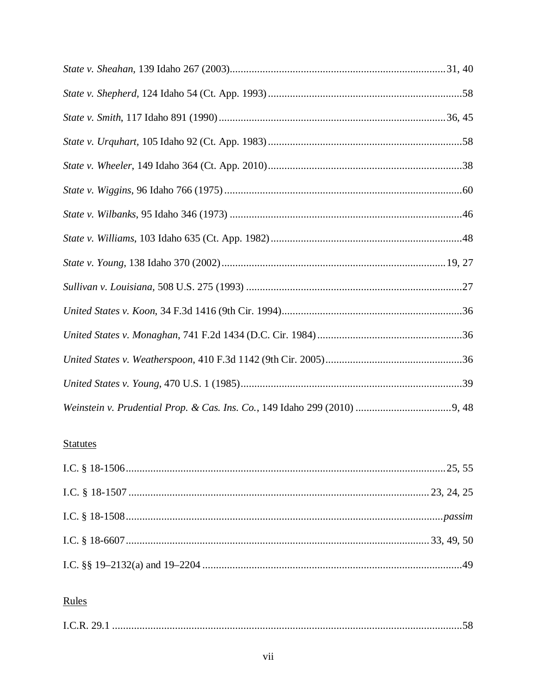# **Statutes**

# Rules

|--|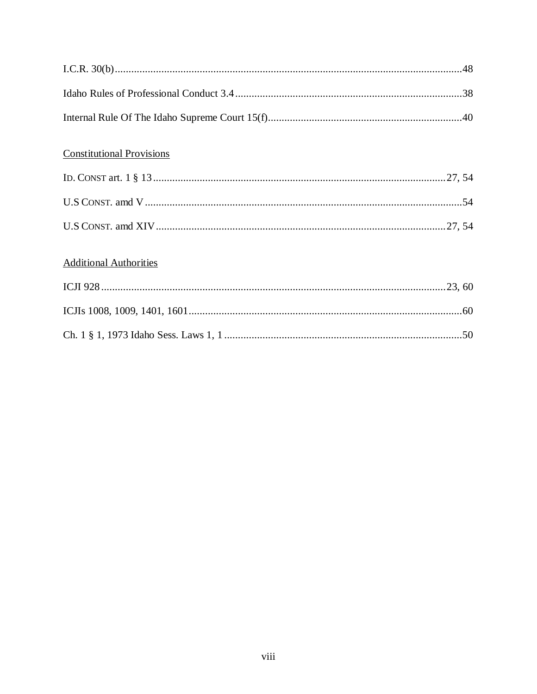| <b>Constitutional Provisions</b> |  |
|----------------------------------|--|
|                                  |  |
|                                  |  |
|                                  |  |
| <b>Additional Authorities</b>    |  |
|                                  |  |
|                                  |  |
|                                  |  |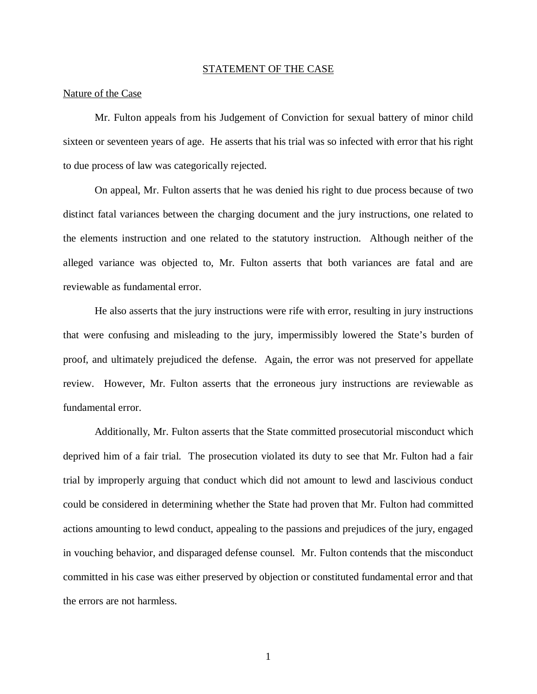#### STATEMENT OF THE CASE

#### Nature of the Case

Mr. Fulton appeals from his Judgement of Conviction for sexual battery of minor child sixteen or seventeen years of age. He asserts that his trial was so infected with error that his right to due process of law was categorically rejected.

On appeal, Mr. Fulton asserts that he was denied his right to due process because of two distinct fatal variances between the charging document and the jury instructions, one related to the elements instruction and one related to the statutory instruction. Although neither of the alleged variance was objected to, Mr. Fulton asserts that both variances are fatal and are reviewable as fundamental error.

He also asserts that the jury instructions were rife with error, resulting in jury instructions that were confusing and misleading to the jury, impermissibly lowered the State's burden of proof, and ultimately prejudiced the defense. Again, the error was not preserved for appellate review. However, Mr. Fulton asserts that the erroneous jury instructions are reviewable as fundamental error.

Additionally, Mr. Fulton asserts that the State committed prosecutorial misconduct which deprived him of a fair trial. The prosecution violated its duty to see that Mr. Fulton had a fair trial by improperly arguing that conduct which did not amount to lewd and lascivious conduct could be considered in determining whether the State had proven that Mr. Fulton had committed actions amounting to lewd conduct, appealing to the passions and prejudices of the jury, engaged in vouching behavior, and disparaged defense counsel. Mr. Fulton contends that the misconduct committed in his case was either preserved by objection or constituted fundamental error and that the errors are not harmless.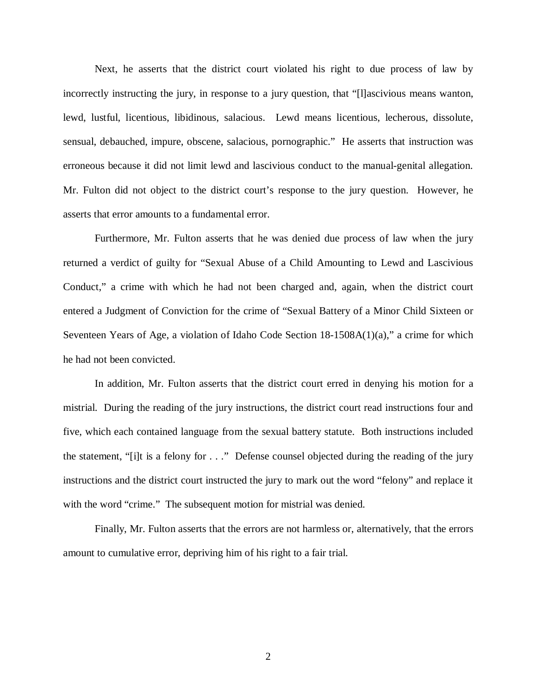Next, he asserts that the district court violated his right to due process of law by incorrectly instructing the jury, in response to a jury question, that "[l]ascivious means wanton, lewd, lustful, licentious, libidinous, salacious. Lewd means licentious, lecherous, dissolute, sensual, debauched, impure, obscene, salacious, pornographic." He asserts that instruction was erroneous because it did not limit lewd and lascivious conduct to the manual-genital allegation. Mr. Fulton did not object to the district court's response to the jury question. However, he asserts that error amounts to a fundamental error.

Furthermore, Mr. Fulton asserts that he was denied due process of law when the jury returned a verdict of guilty for "Sexual Abuse of a Child Amounting to Lewd and Lascivious Conduct," a crime with which he had not been charged and, again, when the district court entered a Judgment of Conviction for the crime of "Sexual Battery of a Minor Child Sixteen or Seventeen Years of Age, a violation of Idaho Code Section 18-1508A(1)(a)," a crime for which he had not been convicted.

In addition, Mr. Fulton asserts that the district court erred in denying his motion for a mistrial. During the reading of the jury instructions, the district court read instructions four and five, which each contained language from the sexual battery statute. Both instructions included the statement, "[i]t is a felony for . . ." Defense counsel objected during the reading of the jury instructions and the district court instructed the jury to mark out the word "felony" and replace it with the word "crime." The subsequent motion for mistrial was denied.

Finally, Mr. Fulton asserts that the errors are not harmless or, alternatively, that the errors amount to cumulative error, depriving him of his right to a fair trial.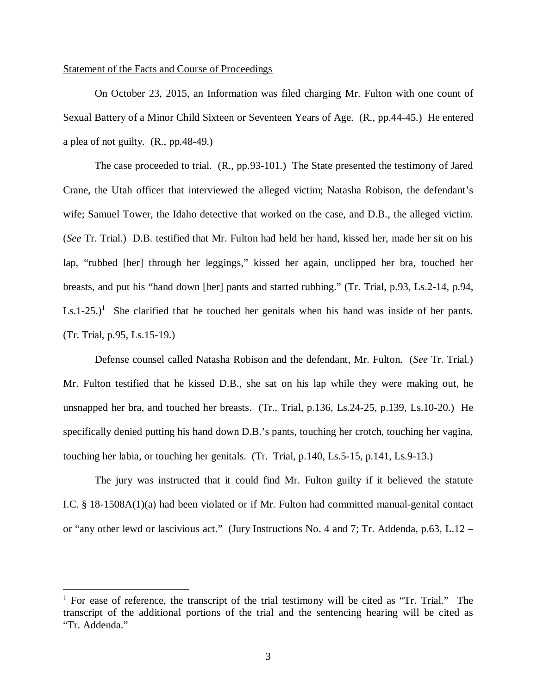#### Statement of the Facts and Course of Proceedings

On October 23, 2015, an Information was filed charging Mr. Fulton with one count of Sexual Battery of a Minor Child Sixteen or Seventeen Years of Age. (R., pp.44-45.) He entered a plea of not guilty. (R., pp.48-49.)

The case proceeded to trial. (R., pp.93-101.) The State presented the testimony of Jared Crane, the Utah officer that interviewed the alleged victim; Natasha Robison, the defendant's wife; Samuel Tower, the Idaho detective that worked on the case, and D.B., the alleged victim. (*See* Tr. Trial.) D.B. testified that Mr. Fulton had held her hand, kissed her, made her sit on his lap, "rubbed [her] through her leggings," kissed her again, unclipped her bra, touched her breasts, and put his "hand down [her] pants and started rubbing." (Tr. Trial, p.93, Ls.2-14, p.94,  $Ls.1-25$  $Ls.1-25$  $Ls.1-25$ .)<sup>1</sup> She clarified that he touched her genitals when his hand was inside of her pants. (Tr. Trial, p.95, Ls.15-19.)

Defense counsel called Natasha Robison and the defendant, Mr. Fulton. (*See* Tr. Trial.) Mr. Fulton testified that he kissed D.B., she sat on his lap while they were making out, he unsnapped her bra, and touched her breasts. (Tr., Trial, p.136, Ls.24-25, p.139, Ls.10-20.) He specifically denied putting his hand down D.B.'s pants, touching her crotch, touching her vagina, touching her labia, or touching her genitals. (Tr. Trial, p.140, Ls.5-15, p.141, Ls.9-13.)

The jury was instructed that it could find Mr. Fulton guilty if it believed the statute I.C. § 18-1508A(1)(a) had been violated or if Mr. Fulton had committed manual-genital contact or "any other lewd or lascivious act." (Jury Instructions No. 4 and 7; Tr. Addenda, p.63, L.12 –

<span id="page-12-0"></span><sup>&</sup>lt;sup>1</sup> For ease of reference, the transcript of the trial testimony will be cited as "Tr. Trial." The transcript of the additional portions of the trial and the sentencing hearing will be cited as "Tr. Addenda."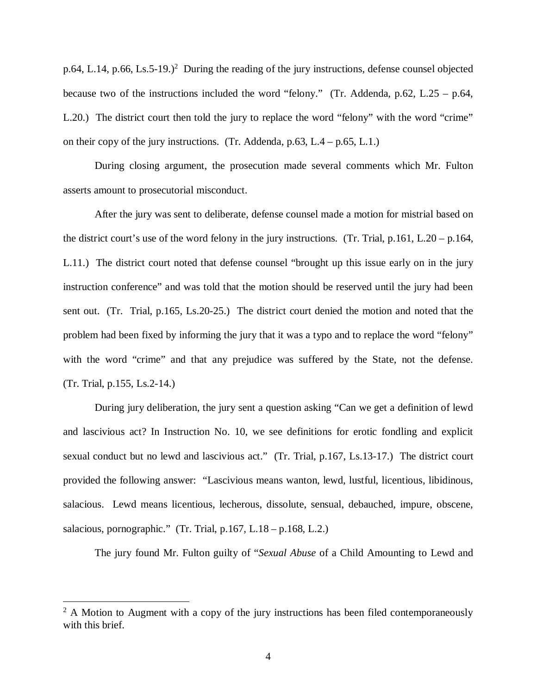p.64, L.14, p.66, Ls.5-19.)<sup>[2](#page-13-0)</sup> During the reading of the jury instructions, defense counsel objected because two of the instructions included the word "felony." (Tr. Addenda, p.62, L.25 – p.64, L.20.) The district court then told the jury to replace the word "felony" with the word "crime" on their copy of the jury instructions. (Tr. Addenda,  $p.63$ , L.4 –  $p.65$ , L.1.)

During closing argument, the prosecution made several comments which Mr. Fulton asserts amount to prosecutorial misconduct.

After the jury was sent to deliberate, defense counsel made a motion for mistrial based on the district court's use of the word felony in the jury instructions. (Tr. Trial, p.161, L.20 – p.164, L.11.) The district court noted that defense counsel "brought up this issue early on in the jury instruction conference" and was told that the motion should be reserved until the jury had been sent out. (Tr. Trial, p.165, Ls.20-25.) The district court denied the motion and noted that the problem had been fixed by informing the jury that it was a typo and to replace the word "felony" with the word "crime" and that any prejudice was suffered by the State, not the defense. (Tr. Trial, p.155, Ls.2-14.)

During jury deliberation, the jury sent a question asking "Can we get a definition of lewd and lascivious act? In Instruction No. 10, we see definitions for erotic fondling and explicit sexual conduct but no lewd and lascivious act." (Tr. Trial, p.167, Ls.13-17.) The district court provided the following answer: "Lascivious means wanton, lewd, lustful, licentious, libidinous, salacious. Lewd means licentious, lecherous, dissolute, sensual, debauched, impure, obscene, salacious, pornographic." (Tr. Trial, p.167, L.18 – p.168, L.2.)

The jury found Mr. Fulton guilty of "*Sexual Abuse* of a Child Amounting to Lewd and

<span id="page-13-0"></span> $2$  A Motion to Augment with a copy of the jury instructions has been filed contemporaneously with this brief.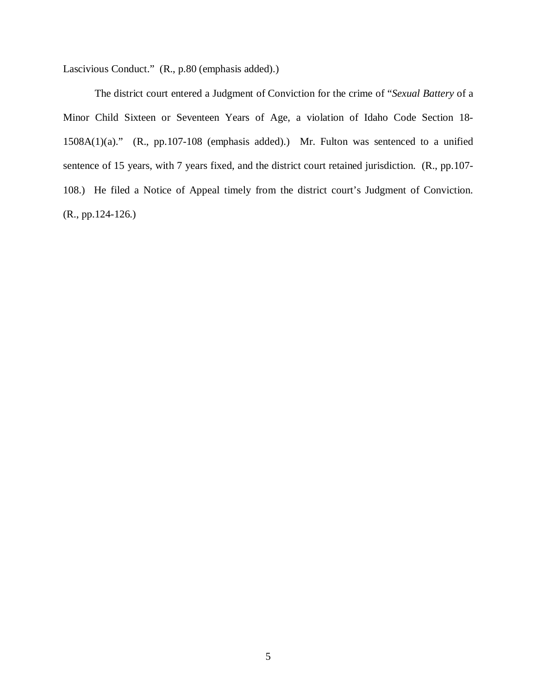Lascivious Conduct." (R., p.80 (emphasis added).)

The district court entered a Judgment of Conviction for the crime of "*Sexual Battery* of a Minor Child Sixteen or Seventeen Years of Age, a violation of Idaho Code Section 18- 1508A(1)(a)." (R., pp.107-108 (emphasis added).) Mr. Fulton was sentenced to a unified sentence of 15 years, with 7 years fixed, and the district court retained jurisdiction. (R., pp.107- 108.) He filed a Notice of Appeal timely from the district court's Judgment of Conviction. (R., pp.124-126.)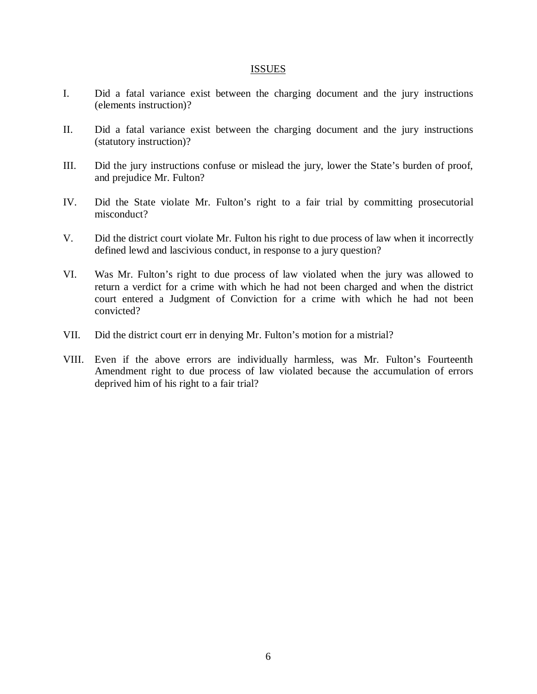#### ISSUES

- I. Did a fatal variance exist between the charging document and the jury instructions (elements instruction)?
- II. Did a fatal variance exist between the charging document and the jury instructions (statutory instruction)?
- III. Did the jury instructions confuse or mislead the jury, lower the State's burden of proof, and prejudice Mr. Fulton?
- IV. Did the State violate Mr. Fulton's right to a fair trial by committing prosecutorial misconduct?
- V. Did the district court violate Mr. Fulton his right to due process of law when it incorrectly defined lewd and lascivious conduct, in response to a jury question?
- VI. Was Mr. Fulton's right to due process of law violated when the jury was allowed to return a verdict for a crime with which he had not been charged and when the district court entered a Judgment of Conviction for a crime with which he had not been convicted?
- VII. Did the district court err in denying Mr. Fulton's motion for a mistrial?
- VIII. Even if the above errors are individually harmless, was Mr. Fulton's Fourteenth Amendment right to due process of law violated because the accumulation of errors deprived him of his right to a fair trial?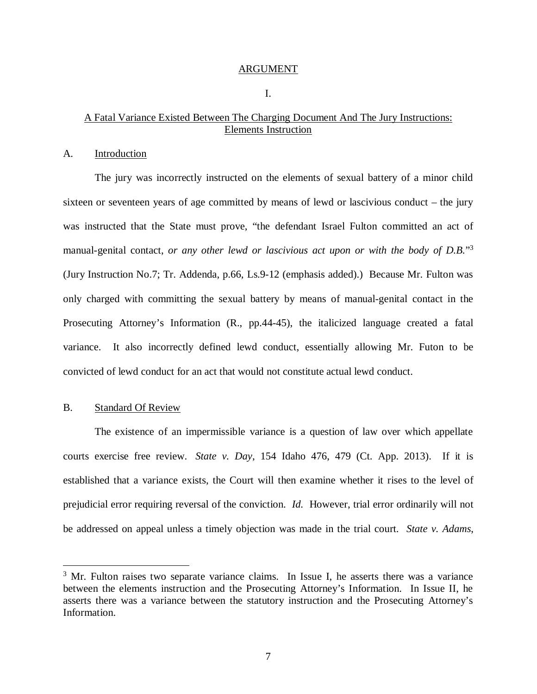#### ARGUMENT

I.

# A Fatal Variance Existed Between The Charging Document And The Jury Instructions: Elements Instruction

#### A. Introduction

The jury was incorrectly instructed on the elements of sexual battery of a minor child sixteen or seventeen years of age committed by means of lewd or lascivious conduct – the jury was instructed that the State must prove, "the defendant Israel Fulton committed an act of manual-genital contact, *or any other lewd or lascivious act upon or with the body of D.B.*" [3](#page-16-0) (Jury Instruction No.7; Tr. Addenda, p.66, Ls.9-12 (emphasis added).) Because Mr. Fulton was only charged with committing the sexual battery by means of manual-genital contact in the Prosecuting Attorney's Information (R., pp.44-45), the italicized language created a fatal variance. It also incorrectly defined lewd conduct, essentially allowing Mr. Futon to be convicted of lewd conduct for an act that would not constitute actual lewd conduct.

#### B. Standard Of Review

The existence of an impermissible variance is a question of law over which appellate courts exercise free review. *State v. Day*, 154 Idaho 476, 479 (Ct. App. 2013). If it is established that a variance exists, the Court will then examine whether it rises to the level of prejudicial error requiring reversal of the conviction. *Id.* However, trial error ordinarily will not be addressed on appeal unless a timely objection was made in the trial court. *State v. Adams*,

<span id="page-16-0"></span><sup>&</sup>lt;sup>3</sup> Mr. Fulton raises two separate variance claims. In Issue I, he asserts there was a variance between the elements instruction and the Prosecuting Attorney's Information. In Issue II, he asserts there was a variance between the statutory instruction and the Prosecuting Attorney's Information.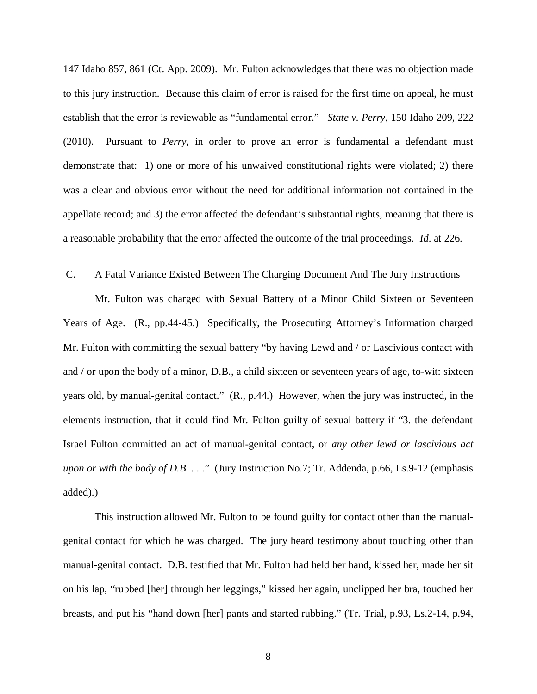147 Idaho 857, 861 (Ct. App. 2009). Mr. Fulton acknowledges that there was no objection made to this jury instruction. Because this claim of error is raised for the first time on appeal, he must establish that the error is reviewable as "fundamental error." *State v. Perry*, 150 Idaho 209, 222 (2010). Pursuant to *Perry*, in order to prove an error is fundamental a defendant must demonstrate that: 1) one or more of his unwaived constitutional rights were violated; 2) there was a clear and obvious error without the need for additional information not contained in the appellate record; and 3) the error affected the defendant's substantial rights, meaning that there is a reasonable probability that the error affected the outcome of the trial proceedings. *Id*. at 226.

#### C. A Fatal Variance Existed Between The Charging Document And The Jury Instructions

Mr. Fulton was charged with Sexual Battery of a Minor Child Sixteen or Seventeen Years of Age. (R., pp.44-45.) Specifically, the Prosecuting Attorney's Information charged Mr. Fulton with committing the sexual battery "by having Lewd and / or Lascivious contact with and / or upon the body of a minor, D.B., a child sixteen or seventeen years of age, to-wit: sixteen years old, by manual-genital contact." (R., p.44.) However, when the jury was instructed, in the elements instruction, that it could find Mr. Fulton guilty of sexual battery if "3. the defendant Israel Fulton committed an act of manual-genital contact, or *any other lewd or lascivious act upon or with the body of D.B.* . . ." (Jury Instruction No.7; Tr. Addenda, p.66, Ls.9-12 (emphasis added).)

This instruction allowed Mr. Fulton to be found guilty for contact other than the manualgenital contact for which he was charged. The jury heard testimony about touching other than manual-genital contact. D.B. testified that Mr. Fulton had held her hand, kissed her, made her sit on his lap, "rubbed [her] through her leggings," kissed her again, unclipped her bra, touched her breasts, and put his "hand down [her] pants and started rubbing." (Tr. Trial, p.93, Ls.2-14, p.94,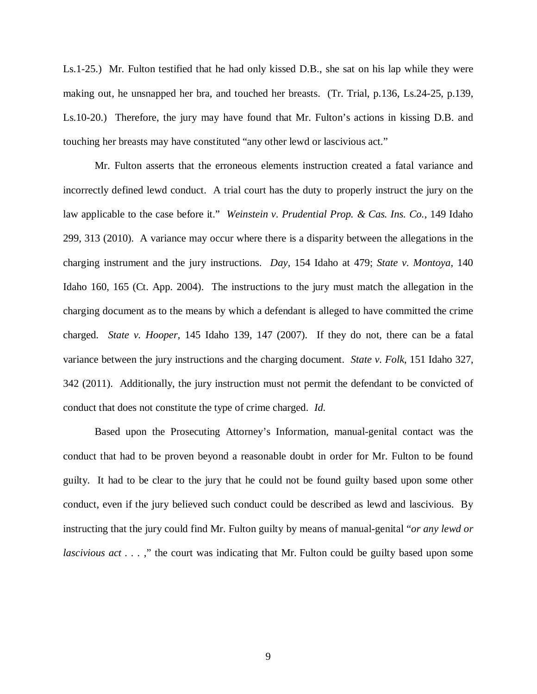Ls.1-25.) Mr. Fulton testified that he had only kissed D.B., she sat on his lap while they were making out, he unsnapped her bra, and touched her breasts. (Tr. Trial, p.136, Ls.24-25, p.139, Ls.10-20.) Therefore, the jury may have found that Mr. Fulton's actions in kissing D.B. and touching her breasts may have constituted "any other lewd or lascivious act."

Mr. Fulton asserts that the erroneous elements instruction created a fatal variance and incorrectly defined lewd conduct. A trial court has the duty to properly instruct the jury on the law applicable to the case before it." *Weinstein v. Prudential Prop. & Cas. Ins. Co.*, 149 Idaho 299, 313 (2010). A variance may occur where there is a disparity between the allegations in the charging instrument and the jury instructions. *Day,* 154 Idaho at 479; *State v. Montoya*, 140 Idaho 160, 165 (Ct. App. 2004). The instructions to the jury must match the allegation in the charging document as to the means by which a defendant is alleged to have committed the crime charged. *State v. Hooper,* 145 Idaho 139, 147 (2007). If they do not, there can be a fatal variance between the jury instructions and the charging document. *State v. Folk*, 151 Idaho 327, 342 (2011). Additionally, the jury instruction must not permit the defendant to be convicted of conduct that does not constitute the type of crime charged. *Id.*

Based upon the Prosecuting Attorney's Information, manual-genital contact was the conduct that had to be proven beyond a reasonable doubt in order for Mr. Fulton to be found guilty. It had to be clear to the jury that he could not be found guilty based upon some other conduct, even if the jury believed such conduct could be described as lewd and lascivious. By instructing that the jury could find Mr. Fulton guilty by means of manual-genital "*or any lewd or lascivious act ...*," the court was indicating that Mr. Fulton could be guilty based upon some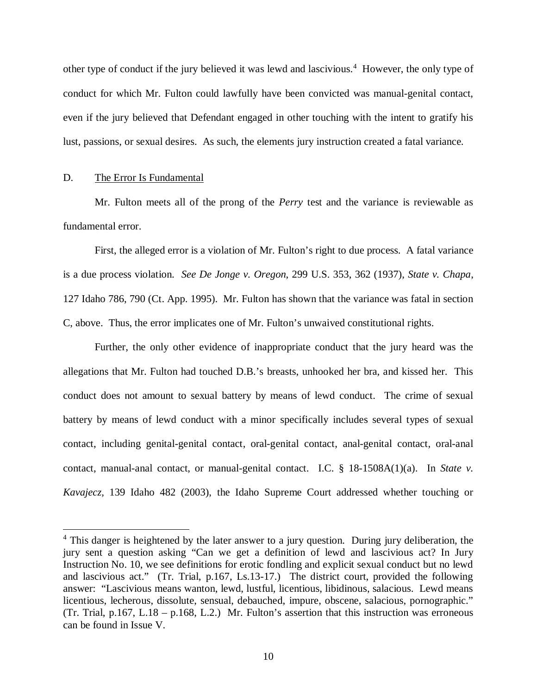other type of conduct if the jury believed it was lewd and lascivious.<sup>[4](#page-19-0)</sup> However, the only type of conduct for which Mr. Fulton could lawfully have been convicted was manual-genital contact, even if the jury believed that Defendant engaged in other touching with the intent to gratify his lust, passions, or sexual desires. As such, the elements jury instruction created a fatal variance.

#### D. The Error Is Fundamental

Mr. Fulton meets all of the prong of the *Perry* test and the variance is reviewable as fundamental error.

First, the alleged error is a violation of Mr. Fulton's right to due process. A fatal variance is a due process violation. *See De Jonge v. Oregon*, 299 U.S. 353, 362 (1937), *State v. Chapa*, 127 Idaho 786, 790 (Ct. App. 1995). Mr. Fulton has shown that the variance was fatal in section C, above. Thus, the error implicates one of Mr. Fulton's unwaived constitutional rights.

Further, the only other evidence of inappropriate conduct that the jury heard was the allegations that Mr. Fulton had touched D.B.'s breasts, unhooked her bra, and kissed her. This conduct does not amount to sexual battery by means of lewd conduct. The crime of sexual battery by means of lewd conduct with a minor specifically includes several types of sexual contact, including genital-genital contact, oral-genital contact, anal-genital contact, oral-anal contact, manual-anal contact, or manual-genital contact. [I.C. § 18-1508A](http://web2.westlaw.com/find/default.wl?tf=-1&rs=WLW9.04&ifm=NotSet&fn=_top&sv=Split&docname=IDSTS18-1508&tc=-1&pbc=9475A505&ordoc=2014266267&findtype=L&db=1000007&vr=2.0&rp=%2ffind%2fdefault.wl&mt=39)(1)(a). In *State v. Kavajecz,* 139 Idaho 482 (2003), the Idaho Supreme Court addressed whether touching or

<span id="page-19-0"></span><sup>&</sup>lt;sup>4</sup> This danger is heightened by the later answer to a jury question. During jury deliberation, the jury sent a question asking "Can we get a definition of lewd and lascivious act? In Jury Instruction No. 10, we see definitions for erotic fondling and explicit sexual conduct but no lewd and lascivious act." (Tr. Trial, p.167, Ls.13-17.) The district court, provided the following answer: "Lascivious means wanton, lewd, lustful, licentious, libidinous, salacious. Lewd means licentious, lecherous, dissolute, sensual, debauched, impure, obscene, salacious, pornographic." (Tr. Trial, p.167, L.18 – p.168, L.2.) Mr. Fulton's assertion that this instruction was erroneous can be found in Issue V.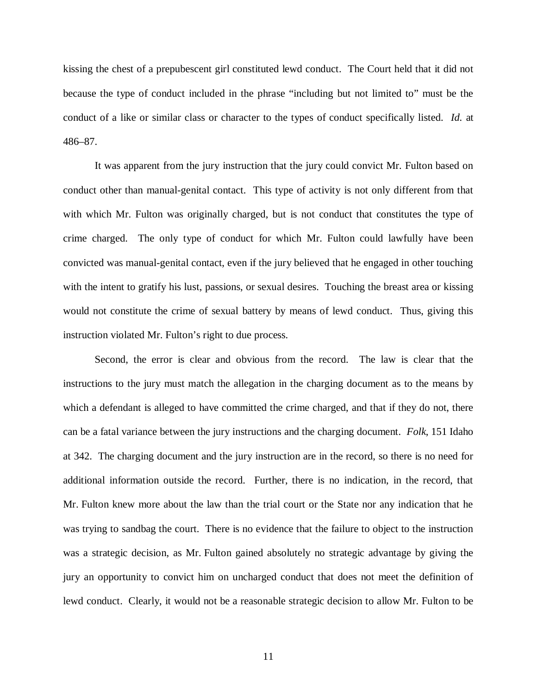kissing the chest of a prepubescent girl constituted lewd conduct. The Court held that it did not because the type of conduct included in the phrase "including but not limited to" must be the conduct of a like or similar class or character to the types of conduct specifically listed. *Id.* at 486–87.

It was apparent from the jury instruction that the jury could convict Mr. Fulton based on conduct other than manual-genital contact. This type of activity is not only different from that with which Mr. Fulton was originally charged, but is not conduct that constitutes the type of crime charged. The only type of conduct for which Mr. Fulton could lawfully have been convicted was manual-genital contact, even if the jury believed that he engaged in other touching with the intent to gratify his lust, passions, or sexual desires. Touching the breast area or kissing would not constitute the crime of sexual battery by means of lewd conduct. Thus, giving this instruction violated Mr. Fulton's right to due process.

Second, the error is clear and obvious from the record. The law is clear that the instructions to the jury must match the allegation in the charging document as to the means by which a defendant is alleged to have committed the crime charged, and that if they do not, there can be a fatal variance between the jury instructions and the charging document. *Folk*, 151 Idaho at 342. The charging document and the jury instruction are in the record, so there is no need for additional information outside the record. Further, there is no indication, in the record, that Mr. Fulton knew more about the law than the trial court or the State nor any indication that he was trying to sandbag the court. There is no evidence that the failure to object to the instruction was a strategic decision, as Mr. Fulton gained absolutely no strategic advantage by giving the jury an opportunity to convict him on uncharged conduct that does not meet the definition of lewd conduct. Clearly, it would not be a reasonable strategic decision to allow Mr. Fulton to be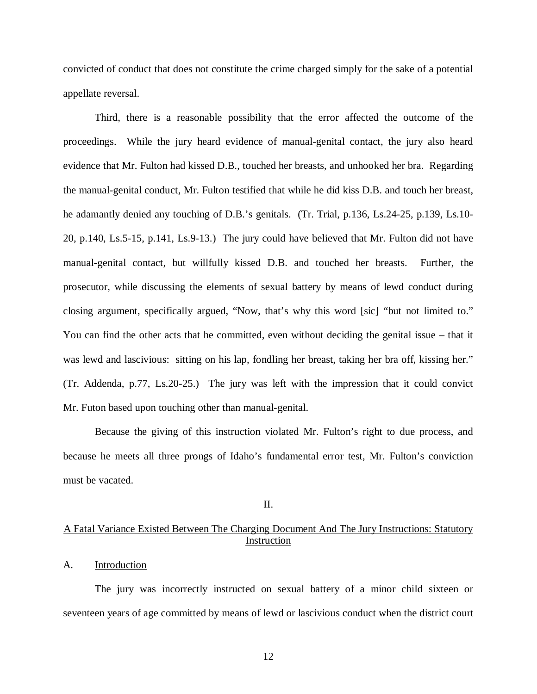convicted of conduct that does not constitute the crime charged simply for the sake of a potential appellate reversal.

Third, there is a reasonable possibility that the error affected the outcome of the proceedings. While the jury heard evidence of manual-genital contact, the jury also heard evidence that Mr. Fulton had kissed D.B., touched her breasts, and unhooked her bra. Regarding the manual-genital conduct, Mr. Fulton testified that while he did kiss D.B. and touch her breast, he adamantly denied any touching of D.B.'s genitals. (Tr. Trial, p.136, Ls.24-25, p.139, Ls.10- 20, p.140, Ls.5-15, p.141, Ls.9-13.) The jury could have believed that Mr. Fulton did not have manual-genital contact, but willfully kissed D.B. and touched her breasts. Further, the prosecutor, while discussing the elements of sexual battery by means of lewd conduct during closing argument, specifically argued, "Now, that's why this word [sic] "but not limited to." You can find the other acts that he committed, even without deciding the genital issue – that it was lewd and lascivious: sitting on his lap, fondling her breast, taking her bra off, kissing her." (Tr. Addenda, p.77, Ls.20-25.) The jury was left with the impression that it could convict Mr. Futon based upon touching other than manual-genital.

Because the giving of this instruction violated Mr. Fulton's right to due process, and because he meets all three prongs of Idaho's fundamental error test, Mr. Fulton's conviction must be vacated.

#### II.

## A Fatal Variance Existed Between The Charging Document And The Jury Instructions: Statutory Instruction

#### A. Introduction

The jury was incorrectly instructed on sexual battery of a minor child sixteen or seventeen years of age committed by means of lewd or lascivious conduct when the district court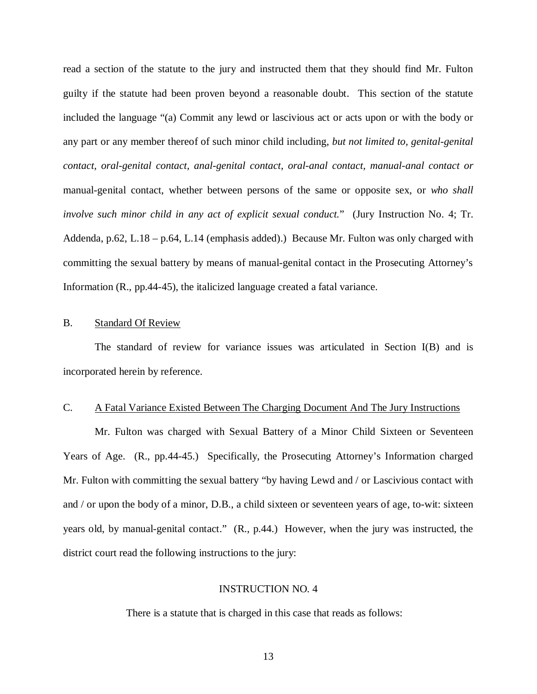read a section of the statute to the jury and instructed them that they should find Mr. Fulton guilty if the statute had been proven beyond a reasonable doubt. This section of the statute included the language "(a) Commit any lewd or lascivious act or acts upon or with the body or any part or any member thereof of such minor child including, *but not limited to, genital-genital contact, oral-genital contact, anal-genital contact, oral-anal contact, manual-anal contact or* manual-genital contact, whether between persons of the same or opposite sex, or *who shall involve such minor child in any act of explicit sexual conduct.*" (Jury Instruction No. 4; Tr. Addenda, p.62, L.18 – p.64, L.14 (emphasis added).) Because Mr. Fulton was only charged with committing the sexual battery by means of manual-genital contact in the Prosecuting Attorney's Information (R., pp.44-45), the italicized language created a fatal variance.

# B. Standard Of Review

The standard of review for variance issues was articulated in Section I(B) and is incorporated herein by reference.

#### C. A Fatal Variance Existed Between The Charging Document And The Jury Instructions

Mr. Fulton was charged with Sexual Battery of a Minor Child Sixteen or Seventeen Years of Age. (R., pp.44-45.) Specifically, the Prosecuting Attorney's Information charged Mr. Fulton with committing the sexual battery "by having Lewd and / or Lascivious contact with and / or upon the body of a minor, D.B., a child sixteen or seventeen years of age, to-wit: sixteen years old, by manual-genital contact." (R., p.44.) However, when the jury was instructed, the district court read the following instructions to the jury:

# INSTRUCTION NO. 4

There is a statute that is charged in this case that reads as follows: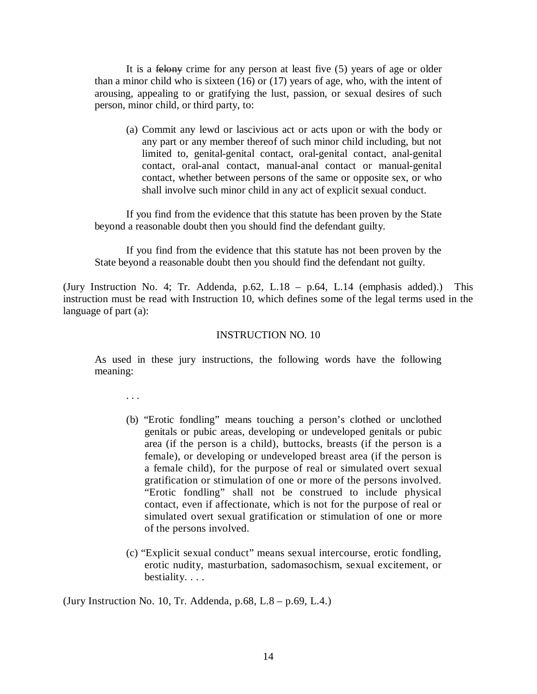It is a <del>felony</del> crime for any person at least five (5) years of age or older than a minor child who is sixteen (16) or (17) years of age, who, with the intent of arousing, appealing to or gratifying the lust, passion, or sexual desires of such person, minor child, or third party, to:

(a) Commit any lewd or lascivious act or acts upon or with the body or any part or any member thereof of such minor child including, but not limited to, genital-genital contact, oral-genital contact, anal-genital contact, oral-anal contact, manual-anal contact or manual-genital contact, whether between persons of the same or opposite sex, or who shall involve such minor child in any act of explicit sexual conduct.

If you find from the evidence that this statute has been proven by the State beyond a reasonable doubt then you should find the defendant guilty.

If you find from the evidence that this statute has not been proven by the State beyond a reasonable doubt then you should find the defendant not guilty.

(Jury Instruction No. 4; Tr. Addenda, p.62, L.18 – p.64, L.14 (emphasis added).) This instruction must be read with Instruction 10, which defines some of the legal terms used in the language of part (a):

# INSTRUCTION NO. 10

As used in these jury instructions, the following words have the following meaning:

. . .

- (b) "Erotic fondling" means touching a person's clothed or unclothed genitals or pubic areas, developing or undeveloped genitals or pubic area (if the person is a child), buttocks, breasts (if the person is a female), or developing or undeveloped breast area (if the person is a female child), for the purpose of real or simulated overt sexual gratification or stimulation of one or more of the persons involved. "Erotic fondling" shall not be construed to include physical contact, even if affectionate, which is not for the purpose of real or simulated overt sexual gratification or stimulation of one or more of the persons involved.
- (c) "Explicit sexual conduct" means sexual intercourse, erotic fondling, erotic nudity, masturbation, sadomasochism, sexual excitement, or bestiality. . . .

(Jury Instruction No. 10, Tr. Addenda, p.68, L.8 – p.69, L.4.)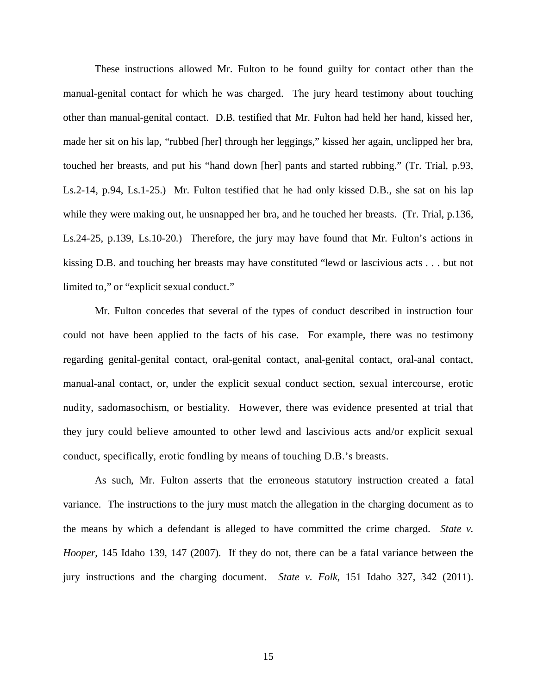These instructions allowed Mr. Fulton to be found guilty for contact other than the manual-genital contact for which he was charged. The jury heard testimony about touching other than manual-genital contact. D.B. testified that Mr. Fulton had held her hand, kissed her, made her sit on his lap, "rubbed [her] through her leggings," kissed her again, unclipped her bra, touched her breasts, and put his "hand down [her] pants and started rubbing." (Tr. Trial, p.93, Ls.2-14, p.94, Ls.1-25.) Mr. Fulton testified that he had only kissed D.B., she sat on his lap while they were making out, he unsnapped her bra, and he touched her breasts. (Tr. Trial, p.136, Ls.24-25, p.139, Ls.10-20.) Therefore, the jury may have found that Mr. Fulton's actions in kissing D.B. and touching her breasts may have constituted "lewd or lascivious acts . . . but not limited to," or "explicit sexual conduct."

Mr. Fulton concedes that several of the types of conduct described in instruction four could not have been applied to the facts of his case. For example, there was no testimony regarding genital-genital contact, oral-genital contact, anal-genital contact, oral-anal contact, manual-anal contact, or, under the explicit sexual conduct section, sexual intercourse, erotic nudity, sadomasochism, or bestiality. However, there was evidence presented at trial that they jury could believe amounted to other lewd and lascivious acts and/or explicit sexual conduct, specifically, erotic fondling by means of touching D.B.'s breasts.

As such, Mr. Fulton asserts that the erroneous statutory instruction created a fatal variance. The instructions to the jury must match the allegation in the charging document as to the means by which a defendant is alleged to have committed the crime charged. *State v. Hooper,* 145 Idaho 139, 147 (2007). If they do not, there can be a fatal variance between the jury instructions and the charging document. *State v. Folk*, 151 Idaho 327, 342 (2011).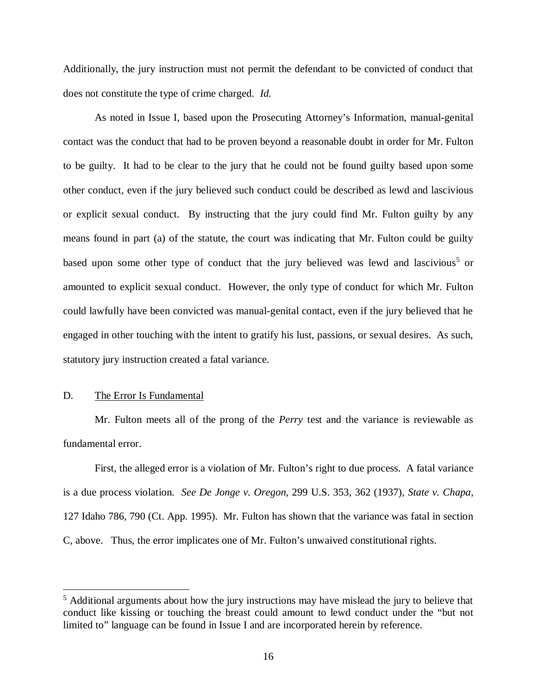Additionally, the jury instruction must not permit the defendant to be convicted of conduct that does not constitute the type of crime charged. *Id.*

As noted in Issue I, based upon the Prosecuting Attorney's Information, manual-genital contact was the conduct that had to be proven beyond a reasonable doubt in order for Mr. Fulton to be guilty. It had to be clear to the jury that he could not be found guilty based upon some other conduct, even if the jury believed such conduct could be described as lewd and lascivious or explicit sexual conduct. By instructing that the jury could find Mr. Fulton guilty by any means found in part (a) of the statute, the court was indicating that Mr. Fulton could be guilty based upon some other type of conduct that the jury believed was lewd and lascivious<sup>[5](#page-25-0)</sup> or amounted to explicit sexual conduct. However, the only type of conduct for which Mr. Fulton could lawfully have been convicted was manual-genital contact, even if the jury believed that he engaged in other touching with the intent to gratify his lust, passions, or sexual desires. As such, statutory jury instruction created a fatal variance.

### D. The Error Is Fundamental

Mr. Fulton meets all of the prong of the *Perry* test and the variance is reviewable as fundamental error.

First, the alleged error is a violation of Mr. Fulton's right to due process. A fatal variance is a due process violation. *See De Jonge v. Oregon*, 299 U.S. 353, 362 (1937), *State v. Chapa*, 127 Idaho 786, 790 (Ct. App. 1995). Mr. Fulton has shown that the variance was fatal in section C, above. Thus, the error implicates one of Mr. Fulton's unwaived constitutional rights.

<span id="page-25-0"></span><sup>&</sup>lt;sup>5</sup> Additional arguments about how the jury instructions may have mislead the jury to believe that conduct like kissing or touching the breast could amount to lewd conduct under the "but not limited to" language can be found in Issue I and are incorporated herein by reference.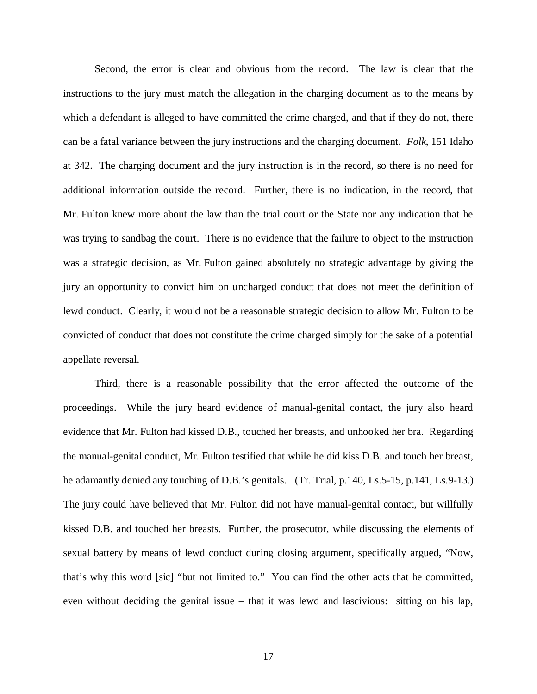Second, the error is clear and obvious from the record. The law is clear that the instructions to the jury must match the allegation in the charging document as to the means by which a defendant is alleged to have committed the crime charged, and that if they do not, there can be a fatal variance between the jury instructions and the charging document. *Folk*, 151 Idaho at 342. The charging document and the jury instruction is in the record, so there is no need for additional information outside the record. Further, there is no indication, in the record, that Mr. Fulton knew more about the law than the trial court or the State nor any indication that he was trying to sandbag the court. There is no evidence that the failure to object to the instruction was a strategic decision, as Mr. Fulton gained absolutely no strategic advantage by giving the jury an opportunity to convict him on uncharged conduct that does not meet the definition of lewd conduct. Clearly, it would not be a reasonable strategic decision to allow Mr. Fulton to be convicted of conduct that does not constitute the crime charged simply for the sake of a potential appellate reversal.

Third, there is a reasonable possibility that the error affected the outcome of the proceedings. While the jury heard evidence of manual-genital contact, the jury also heard evidence that Mr. Fulton had kissed D.B., touched her breasts, and unhooked her bra. Regarding the manual-genital conduct, Mr. Fulton testified that while he did kiss D.B. and touch her breast, he adamantly denied any touching of D.B.'s genitals. (Tr. Trial, p.140, Ls.5-15, p.141, Ls.9-13.) The jury could have believed that Mr. Fulton did not have manual-genital contact, but willfully kissed D.B. and touched her breasts. Further, the prosecutor, while discussing the elements of sexual battery by means of lewd conduct during closing argument, specifically argued, "Now, that's why this word [sic] "but not limited to." You can find the other acts that he committed, even without deciding the genital issue – that it was lewd and lascivious: sitting on his lap,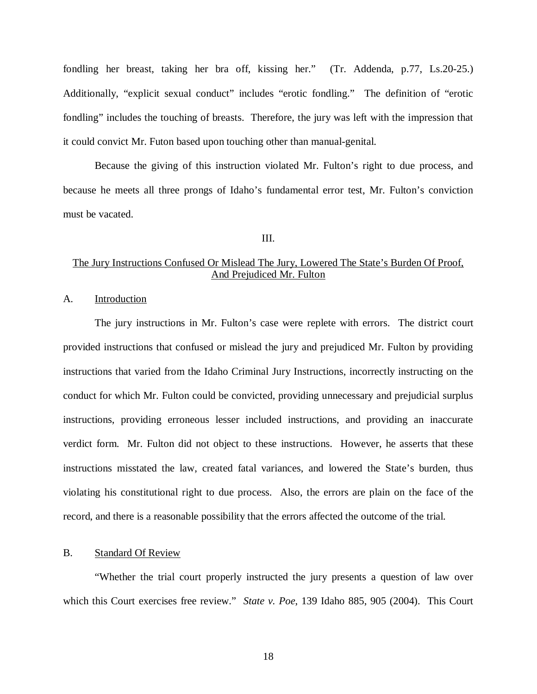fondling her breast, taking her bra off, kissing her." (Tr. Addenda, p.77, Ls.20-25.) Additionally, "explicit sexual conduct" includes "erotic fondling." The definition of "erotic fondling" includes the touching of breasts. Therefore, the jury was left with the impression that it could convict Mr. Futon based upon touching other than manual-genital.

Because the giving of this instruction violated Mr. Fulton's right to due process, and because he meets all three prongs of Idaho's fundamental error test, Mr. Fulton's conviction must be vacated.

III.

# The Jury Instructions Confused Or Mislead The Jury, Lowered The State's Burden Of Proof, And Prejudiced Mr. Fulton

A. Introduction

The jury instructions in Mr. Fulton's case were replete with errors. The district court provided instructions that confused or mislead the jury and prejudiced Mr. Fulton by providing instructions that varied from the Idaho Criminal Jury Instructions, incorrectly instructing on the conduct for which Mr. Fulton could be convicted, providing unnecessary and prejudicial surplus instructions, providing erroneous lesser included instructions, and providing an inaccurate verdict form. Mr. Fulton did not object to these instructions. However, he asserts that these instructions misstated the law, created fatal variances, and lowered the State's burden, thus violating his constitutional right to due process. Also, the errors are plain on the face of the record, and there is a reasonable possibility that the errors affected the outcome of the trial.

#### B. Standard Of Review

"Whether the trial court properly instructed the jury presents a question of law over which this Court exercises free review." *State v. Poe*, 139 Idaho 885, 905 (2004). This Court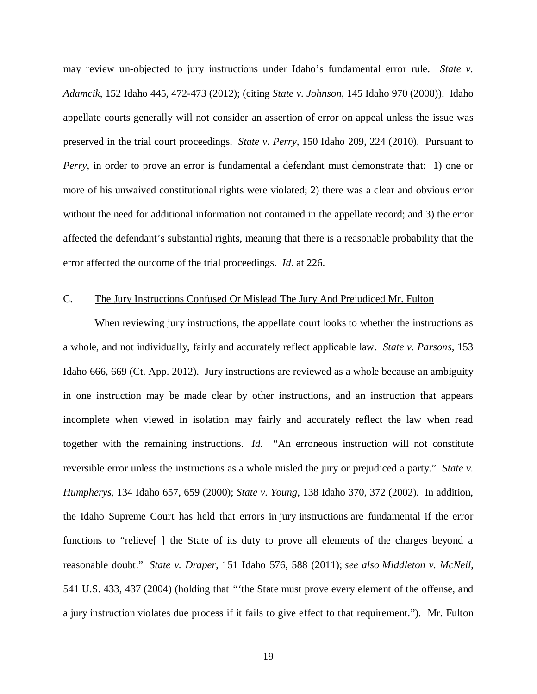may review un-objected to jury instructions under Idaho's fundamental error rule. *State v. Adamcik*, 152 Idaho 445, 472-473 (2012); (citing *State v. Johnson*, 145 Idaho 970 (2008)). Idaho appellate courts generally will not consider an assertion of error on appeal unless the issue was preserved in the trial court proceedings. *State v. Perry,* 150 Idaho 209, 224 (2010). Pursuant to *Perry*, in order to prove an error is fundamental a defendant must demonstrate that: 1) one or more of his unwaived constitutional rights were violated; 2) there was a clear and obvious error without the need for additional information not contained in the appellate record; and 3) the error affected the defendant's substantial rights, meaning that there is a reasonable probability that the error affected the outcome of the trial proceedings. *Id*. at 226.

### C. The Jury Instructions Confused Or Mislead The Jury And Prejudiced Mr. Fulton

When reviewing jury instructions, the appellate court looks to whether the instructions as a whole, and not individually, fairly and accurately reflect applicable law. *State v. Parsons,* 153 Idaho 666, 669 (Ct. App. 2012). Jury instructions are reviewed as a whole because an ambiguity in one instruction may be made clear by other instructions, and an instruction that appears incomplete when viewed in isolation may fairly and accurately reflect the law when read together with the remaining instructions. *Id.* "An erroneous instruction will not constitute reversible error unless the instructions as a whole misled the jury or prejudiced a party." *State v. Humpherys*, 134 Idaho 657, 659 (2000); *State v. Young*, 138 Idaho 370, 372 (2002). In addition, the Idaho Supreme Court has held that errors in jury instructions are fundamental if the error functions to "relieve[ ] the State of its duty to prove all elements of the charges beyond a reasonable doubt." *State v. Draper*, 151 Idaho 576, 588 (2011); *see also Middleton v. McNeil*, 541 U.S. 433, 437 (2004) (holding that *"*'the State must prove every element of the offense, and a jury instruction violates due process if it fails to give effect to that requirement."). Mr. Fulton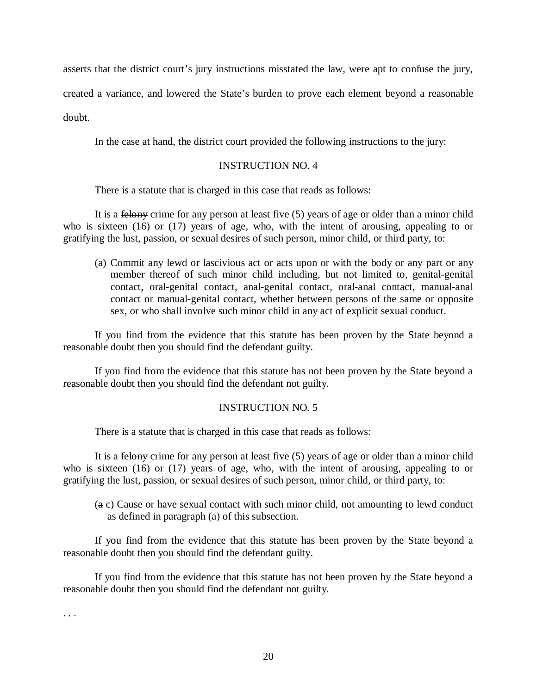asserts that the district court's jury instructions misstated the law, were apt to confuse the jury,

created a variance, and lowered the State's burden to prove each element beyond a reasonable

doubt.

In the case at hand, the district court provided the following instructions to the jury:

# INSTRUCTION NO. 4

There is a statute that is charged in this case that reads as follows:

It is a felony crime for any person at least five (5) years of age or older than a minor child who is sixteen (16) or (17) years of age, who, with the intent of arousing, appealing to or gratifying the lust, passion, or sexual desires of such person, minor child, or third party, to:

(a) Commit any lewd or lascivious act or acts upon or with the body or any part or any member thereof of such minor child including, but not limited to, genital-genital contact, oral-genital contact, anal-genital contact, oral-anal contact, manual-anal contact or manual-genital contact, whether between persons of the same or opposite sex, or who shall involve such minor child in any act of explicit sexual conduct.

If you find from the evidence that this statute has been proven by the State beyond a reasonable doubt then you should find the defendant guilty.

If you find from the evidence that this statute has not been proven by the State beyond a reasonable doubt then you should find the defendant not guilty.

# INSTRUCTION NO. 5

There is a statute that is charged in this case that reads as follows:

It is a felony crime for any person at least five (5) years of age or older than a minor child who is sixteen (16) or (17) years of age, who, with the intent of arousing, appealing to or gratifying the lust, passion, or sexual desires of such person, minor child, or third party, to:

(a c) Cause or have sexual contact with such minor child, not amounting to lewd conduct as defined in paragraph (a) of this subsection.

If you find from the evidence that this statute has been proven by the State beyond a reasonable doubt then you should find the defendant guilty.

If you find from the evidence that this statute has not been proven by the State beyond a reasonable doubt then you should find the defendant not guilty.

. . .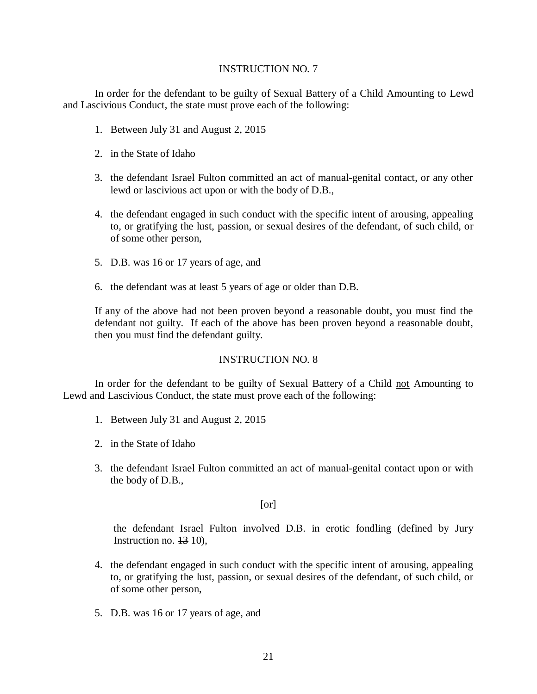### INSTRUCTION NO. 7

In order for the defendant to be guilty of Sexual Battery of a Child Amounting to Lewd and Lascivious Conduct, the state must prove each of the following:

- 1. Between July 31 and August 2, 2015
- 2. in the State of Idaho
- 3. the defendant Israel Fulton committed an act of manual-genital contact, or any other lewd or lascivious act upon or with the body of D.B.,
- 4. the defendant engaged in such conduct with the specific intent of arousing, appealing to, or gratifying the lust, passion, or sexual desires of the defendant, of such child, or of some other person,
- 5. D.B. was 16 or 17 years of age, and
- 6. the defendant was at least 5 years of age or older than D.B.

If any of the above had not been proven beyond a reasonable doubt, you must find the defendant not guilty. If each of the above has been proven beyond a reasonable doubt, then you must find the defendant guilty.

# INSTRUCTION NO. 8

In order for the defendant to be guilty of Sexual Battery of a Child not Amounting to Lewd and Lascivious Conduct, the state must prove each of the following:

- 1. Between July 31 and August 2, 2015
- 2. in the State of Idaho
- 3. the defendant Israel Fulton committed an act of manual-genital contact upon or with the body of D.B.,

[or]

the defendant Israel Fulton involved D.B. in erotic fondling (defined by Jury Instruction no.  $13$  10).

- 4. the defendant engaged in such conduct with the specific intent of arousing, appealing to, or gratifying the lust, passion, or sexual desires of the defendant, of such child, or of some other person,
- 5. D.B. was 16 or 17 years of age, and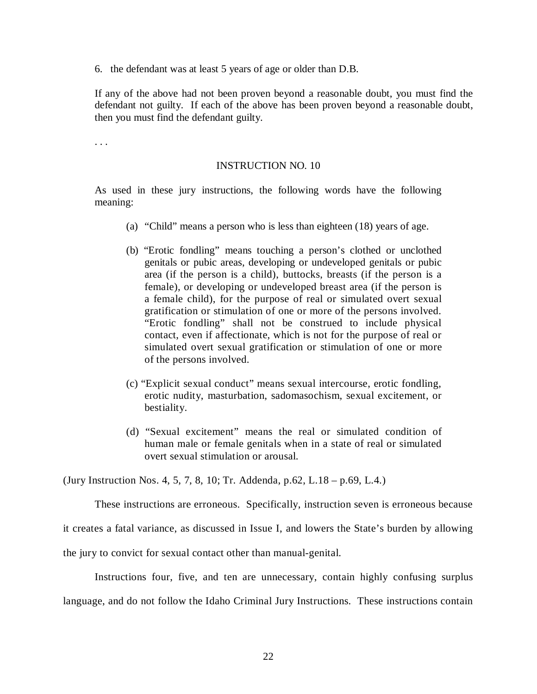6. the defendant was at least 5 years of age or older than D.B.

If any of the above had not been proven beyond a reasonable doubt, you must find the defendant not guilty. If each of the above has been proven beyond a reasonable doubt, then you must find the defendant guilty.

. . .

# INSTRUCTION NO. 10

As used in these jury instructions, the following words have the following meaning:

- (a) "Child" means a person who is less than eighteen (18) years of age.
- (b) "Erotic fondling" means touching a person's clothed or unclothed genitals or pubic areas, developing or undeveloped genitals or pubic area (if the person is a child), buttocks, breasts (if the person is a female), or developing or undeveloped breast area (if the person is a female child), for the purpose of real or simulated overt sexual gratification or stimulation of one or more of the persons involved. "Erotic fondling" shall not be construed to include physical contact, even if affectionate, which is not for the purpose of real or simulated overt sexual gratification or stimulation of one or more of the persons involved.
- (c) "Explicit sexual conduct" means sexual intercourse, erotic fondling, erotic nudity, masturbation, sadomasochism, sexual excitement, or bestiality.
- (d) "Sexual excitement" means the real or simulated condition of human male or female genitals when in a state of real or simulated overt sexual stimulation or arousal.

(Jury Instruction Nos. 4, 5, 7, 8, 10; Tr. Addenda, p.62, L.18 – p.69, L.4.)

These instructions are erroneous. Specifically, instruction seven is erroneous because

it creates a fatal variance, as discussed in Issue I, and lowers the State's burden by allowing

the jury to convict for sexual contact other than manual-genital.

Instructions four, five, and ten are unnecessary, contain highly confusing surplus language, and do not follow the Idaho Criminal Jury Instructions. These instructions contain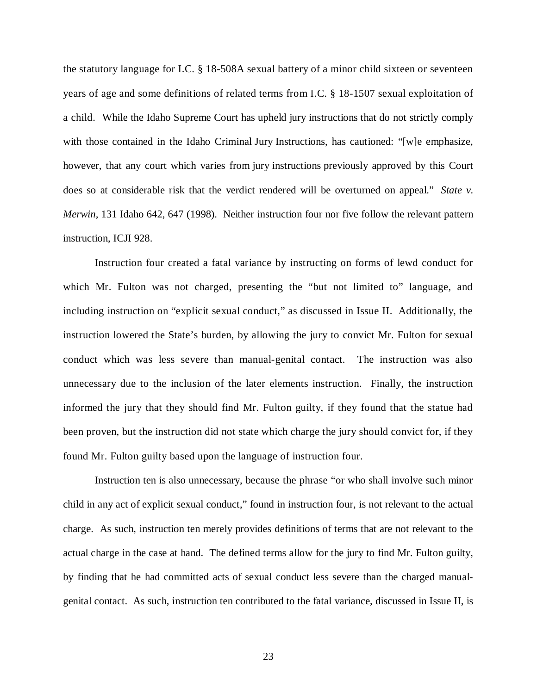the statutory language for I.C. § 18-508A sexual battery of a minor child sixteen or seventeen years of age and some definitions of related terms from I.C. § 18-1507 sexual exploitation of a child. While the Idaho Supreme Court has upheld jury instructions that do not strictly comply with those contained in the Idaho Criminal Jury Instructions, has cautioned: "[w]e emphasize, however, that any court which varies from jury instructions previously approved by this Court does so at considerable risk that the verdict rendered will be overturned on appeal." *State v. Merwin,* 131 Idaho 642, 647 (1998). Neither instruction four nor five follow the relevant pattern instruction, ICJI 928.

Instruction four created a fatal variance by instructing on forms of lewd conduct for which Mr. Fulton was not charged, presenting the "but not limited to" language, and including instruction on "explicit sexual conduct," as discussed in Issue II. Additionally, the instruction lowered the State's burden, by allowing the jury to convict Mr. Fulton for sexual conduct which was less severe than manual-genital contact. The instruction was also unnecessary due to the inclusion of the later elements instruction. Finally, the instruction informed the jury that they should find Mr. Fulton guilty, if they found that the statue had been proven, but the instruction did not state which charge the jury should convict for, if they found Mr. Fulton guilty based upon the language of instruction four.

Instruction ten is also unnecessary, because the phrase "or who shall involve such minor child in any act of explicit sexual conduct," found in instruction four, is not relevant to the actual charge. As such, instruction ten merely provides definitions of terms that are not relevant to the actual charge in the case at hand. The defined terms allow for the jury to find Mr. Fulton guilty, by finding that he had committed acts of sexual conduct less severe than the charged manualgenital contact. As such, instruction ten contributed to the fatal variance, discussed in Issue II, is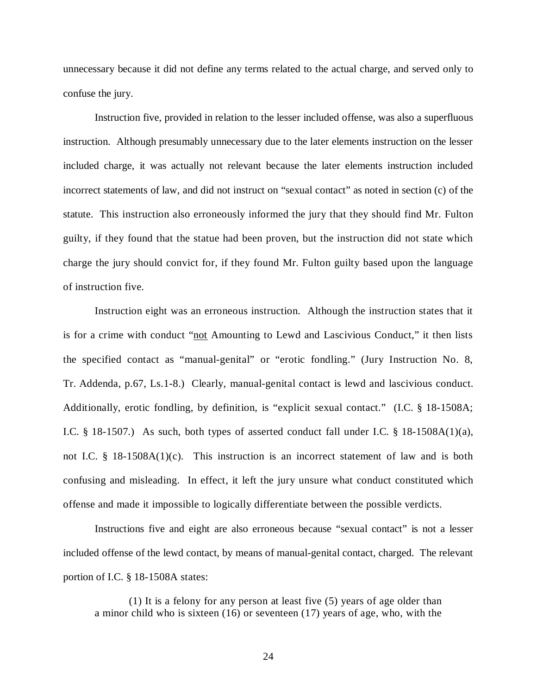unnecessary because it did not define any terms related to the actual charge, and served only to confuse the jury.

Instruction five, provided in relation to the lesser included offense, was also a superfluous instruction. Although presumably unnecessary due to the later elements instruction on the lesser included charge, it was actually not relevant because the later elements instruction included incorrect statements of law, and did not instruct on "sexual contact" as noted in section (c) of the statute. This instruction also erroneously informed the jury that they should find Mr. Fulton guilty, if they found that the statue had been proven, but the instruction did not state which charge the jury should convict for, if they found Mr. Fulton guilty based upon the language of instruction five.

Instruction eight was an erroneous instruction. Although the instruction states that it is for a crime with conduct "not Amounting to Lewd and Lascivious Conduct," it then lists the specified contact as "manual-genital" or "erotic fondling." (Jury Instruction No. 8, Tr. Addenda, p.67, Ls.1-8.) Clearly, manual-genital contact is lewd and lascivious conduct. Additionally, erotic fondling, by definition, is "explicit sexual contact." (I.C. § 18-1508A; I.C. § 18-1507.) As such, both types of asserted conduct fall under I.C. § 18-1508A(1)(a), not I.C. § 18-1508A(1)(c). This instruction is an incorrect statement of law and is both confusing and misleading. In effect, it left the jury unsure what conduct constituted which offense and made it impossible to logically differentiate between the possible verdicts.

Instructions five and eight are also erroneous because "sexual contact" is not a lesser included offense of the lewd contact, by means of manual-genital contact, charged. The relevant portion of I.C. § 18-1508A states:

 (1) It is a felony for any person at least five (5) years of age older than a minor child who is sixteen (16) or seventeen (17) years of age, who, with the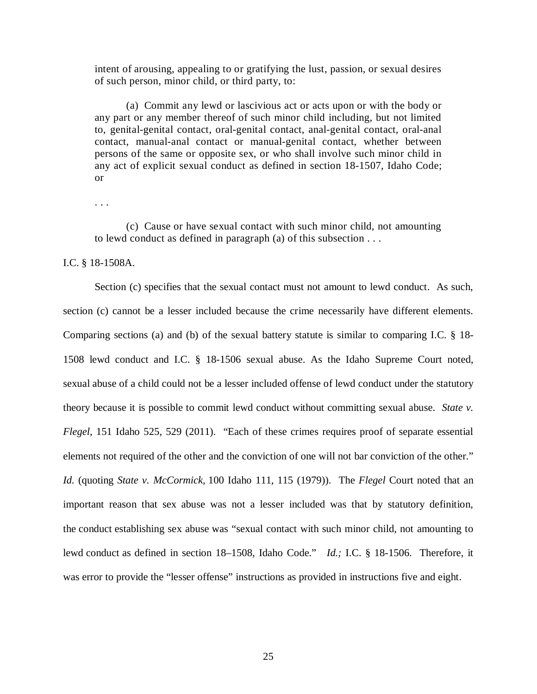intent of arousing, appealing to or gratifying the lust, passion, or sexual desires of such person, minor child, or third party, to:

(a) Commit any lewd or lascivious act or acts upon or with the body or any part or any member thereof of such minor child including, but not limited to, genital-genital contact, oral-genital contact, anal-genital contact, oral-anal contact, manual-anal contact or manual-genital contact, whether between persons of the same or opposite sex, or who shall involve such minor child in any act of explicit sexual conduct as defined in section 18-1507, Idaho Code; or

. . .

(c) Cause or have sexual contact with such minor child, not amounting to lewd conduct as defined in paragraph (a) of this subsection . . .

#### I.C. § 18-1508A.

Section (c) specifies that the sexual contact must not amount to lewd conduct. As such, section (c) cannot be a lesser included because the crime necessarily have different elements. Comparing sections (a) and (b) of the sexual battery statute is similar to comparing I.C. § 18- 1508 lewd conduct and I.C. § 18-1506 sexual abuse. As the Idaho Supreme Court noted, sexual abuse of a child could not be a lesser included offense of lewd conduct under the statutory theory because it is possible to commit lewd conduct without committing sexual abuse. *State v. Flegel*, 151 Idaho 525, 529 (2011). "Each of these crimes requires proof of separate essential elements not required of the other and the conviction of one will not bar conviction of the other." *Id.* (quoting *State v. McCormick,* 100 Idaho 111, 115 (1979)). The *Flegel* Court noted that an important reason that sex abuse was not a lesser included was that by statutory definition, the conduct establishing sex abuse was "sexual contact with such minor child, not amounting to lewd conduct as defined in section 18–1508, Idaho Code." *Id.;* I.C. § 18-1506. Therefore, it was error to provide the "lesser offense" instructions as provided in instructions five and eight.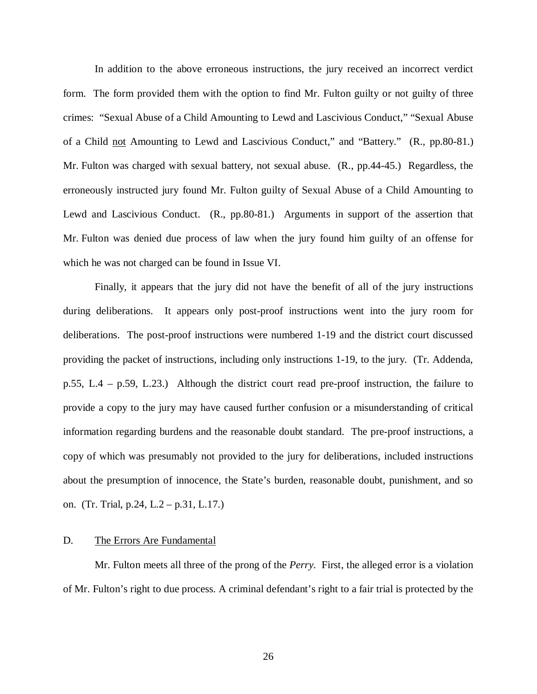In addition to the above erroneous instructions, the jury received an incorrect verdict form. The form provided them with the option to find Mr. Fulton guilty or not guilty of three crimes: "Sexual Abuse of a Child Amounting to Lewd and Lascivious Conduct," "Sexual Abuse of a Child not Amounting to Lewd and Lascivious Conduct," and "Battery." (R., pp.80-81.) Mr. Fulton was charged with sexual battery, not sexual abuse. (R., pp.44-45.) Regardless, the erroneously instructed jury found Mr. Fulton guilty of Sexual Abuse of a Child Amounting to Lewd and Lascivious Conduct. (R., pp.80-81.) Arguments in support of the assertion that Mr. Fulton was denied due process of law when the jury found him guilty of an offense for which he was not charged can be found in Issue VI.

Finally, it appears that the jury did not have the benefit of all of the jury instructions during deliberations. It appears only post-proof instructions went into the jury room for deliberations. The post-proof instructions were numbered 1-19 and the district court discussed providing the packet of instructions, including only instructions 1-19, to the jury. (Tr. Addenda, p.55, L.4 – p.59, L.23.) Although the district court read pre-proof instruction, the failure to provide a copy to the jury may have caused further confusion or a misunderstanding of critical information regarding burdens and the reasonable doubt standard. The pre-proof instructions, a copy of which was presumably not provided to the jury for deliberations, included instructions about the presumption of innocence, the State's burden, reasonable doubt, punishment, and so on. (Tr. Trial, p.24, L.2 – p.31, L.17.)

## D. The Errors Are Fundamental

Mr. Fulton meets all three of the prong of the *Perry.* First, the alleged error is a violation of Mr. Fulton's right to due process. A criminal defendant's right to a fair trial is protected by the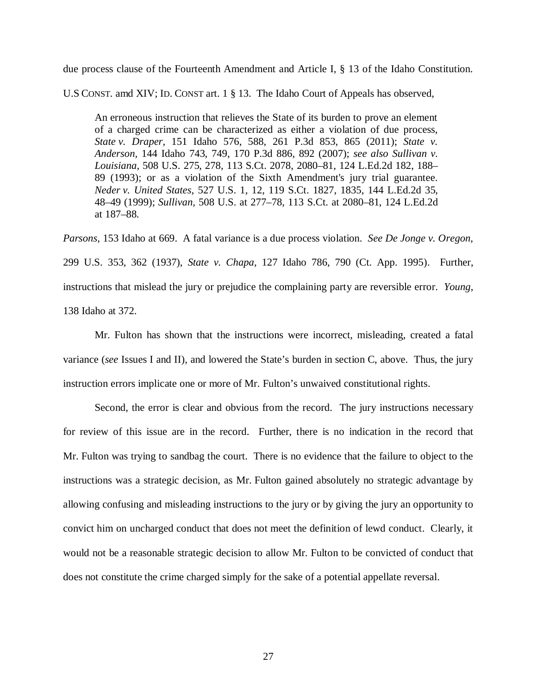due process clause of the Fourteenth Amendment and Article I, § 13 of the Idaho Constitution.

U.S CONST. amd XIV; ID. CONST art. 1 § 13. The Idaho Court of Appeals has observed,

An erroneous instruction that relieves the State of its burden to prove an element of a charged crime can be characterized as either a violation of due process, *State v. Draper,* 151 Idaho 576, 588, 261 P.3d 853, 865 (2011); *State v. Anderson,* 144 Idaho 743, 749, 170 P.3d 886, 892 (2007); *see also Sullivan v. Louisiana,* 508 U.S. 275, 278, 113 S.Ct. 2078, 2080–81, 124 L.Ed.2d 182, 188– 89 (1993); or as a violation of the Sixth Amendment's jury trial guarantee. *Neder v. United States,* 527 U.S. 1, 12, 119 S.Ct. 1827, 1835, 144 L.Ed.2d 35, 48–49 (1999); *Sullivan,* 508 U.S. at 277–78, 113 S.Ct. at 2080–81, 124 L.Ed.2d at 187–88.

*Parsons*, 153 Idaho at 669. A fatal variance is a due process violation. *See De Jonge v. Oregon*, 299 U.S. 353, 362 (1937), *State v. Chapa*, 127 Idaho 786, 790 (Ct. App. 1995). Further, instructions that mislead the jury or prejudice the complaining party are reversible error. *Young*, 138 Idaho at 372.

Mr. Fulton has shown that the instructions were incorrect, misleading, created a fatal variance (*see* Issues I and II), and lowered the State's burden in section C, above. Thus, the jury instruction errors implicate one or more of Mr. Fulton's unwaived constitutional rights.

Second, the error is clear and obvious from the record. The jury instructions necessary for review of this issue are in the record. Further, there is no indication in the record that Mr. Fulton was trying to sandbag the court. There is no evidence that the failure to object to the instructions was a strategic decision, as Mr. Fulton gained absolutely no strategic advantage by allowing confusing and misleading instructions to the jury or by giving the jury an opportunity to convict him on uncharged conduct that does not meet the definition of lewd conduct. Clearly, it would not be a reasonable strategic decision to allow Mr. Fulton to be convicted of conduct that does not constitute the crime charged simply for the sake of a potential appellate reversal.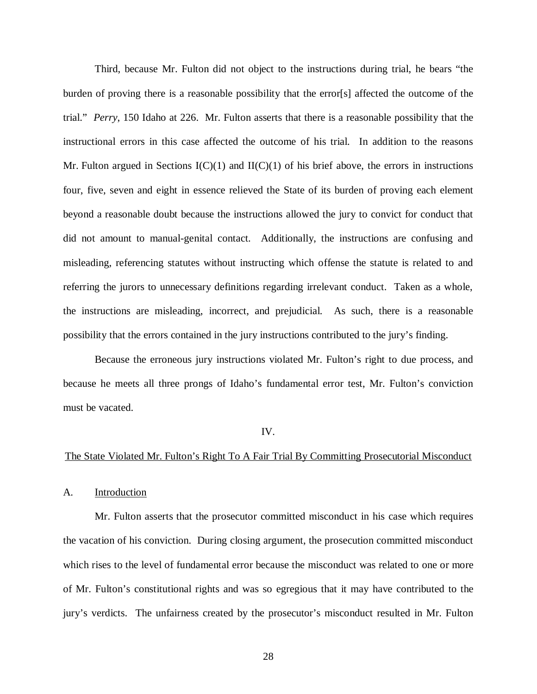Third, because Mr. Fulton did not object to the instructions during trial, he bears "the burden of proving there is a reasonable possibility that the error[s] affected the outcome of the trial." *Perry*, 150 Idaho at 226. Mr. Fulton asserts that there is a reasonable possibility that the instructional errors in this case affected the outcome of his trial. In addition to the reasons Mr. Fulton argued in Sections  $I(C)(1)$  and  $II(C)(1)$  of his brief above, the errors in instructions four, five, seven and eight in essence relieved the State of its burden of proving each element beyond a reasonable doubt because the instructions allowed the jury to convict for conduct that did not amount to manual-genital contact. Additionally, the instructions are confusing and misleading, referencing statutes without instructing which offense the statute is related to and referring the jurors to unnecessary definitions regarding irrelevant conduct. Taken as a whole, the instructions are misleading, incorrect, and prejudicial. As such, there is a reasonable possibility that the errors contained in the jury instructions contributed to the jury's finding.

Because the erroneous jury instructions violated Mr. Fulton's right to due process, and because he meets all three prongs of Idaho's fundamental error test, Mr. Fulton's conviction must be vacated.

#### IV.

#### The State Violated Mr. Fulton's Right To A Fair Trial By Committing Prosecutorial Misconduct

A. Introduction

Mr. Fulton asserts that the prosecutor committed misconduct in his case which requires the vacation of his conviction. During closing argument, the prosecution committed misconduct which rises to the level of fundamental error because the misconduct was related to one or more of Mr. Fulton's constitutional rights and was so egregious that it may have contributed to the jury's verdicts. The unfairness created by the prosecutor's misconduct resulted in Mr. Fulton

28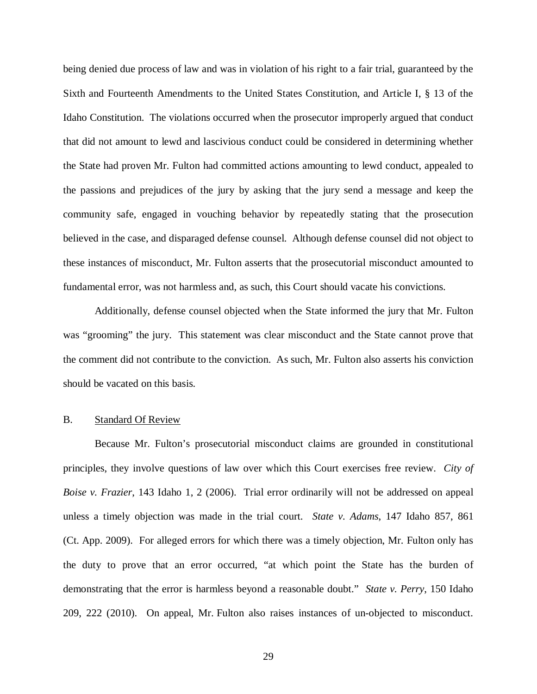being denied due process of law and was in violation of his right to a fair trial, guaranteed by the Sixth and Fourteenth Amendments to the United States Constitution, and Article I, § 13 of the Idaho Constitution. The violations occurred when the prosecutor improperly argued that conduct that did not amount to lewd and lascivious conduct could be considered in determining whether the State had proven Mr. Fulton had committed actions amounting to lewd conduct, appealed to the passions and prejudices of the jury by asking that the jury send a message and keep the community safe, engaged in vouching behavior by repeatedly stating that the prosecution believed in the case, and disparaged defense counsel. Although defense counsel did not object to these instances of misconduct, Mr. Fulton asserts that the prosecutorial misconduct amounted to fundamental error, was not harmless and, as such, this Court should vacate his convictions.

Additionally, defense counsel objected when the State informed the jury that Mr. Fulton was "grooming" the jury. This statement was clear misconduct and the State cannot prove that the comment did not contribute to the conviction. As such, Mr. Fulton also asserts his conviction should be vacated on this basis.

### B. Standard Of Review

Because Mr. Fulton's prosecutorial misconduct claims are grounded in constitutional principles, they involve questions of law over which this Court exercises free review. *City of Boise v. Frazier*, 143 Idaho 1, 2 (2006). Trial error ordinarily will not be addressed on appeal unless a timely objection was made in the trial court. *State v. Adams*, 147 Idaho 857, 861 (Ct. App. 2009). For alleged errors for which there was a timely objection, Mr. Fulton only has the duty to prove that an error occurred, "at which point the State has the burden of demonstrating that the error is harmless beyond a reasonable doubt." *State v. Perry*, 150 Idaho 209, 222 (2010). On appeal, Mr. Fulton also raises instances of un-objected to misconduct.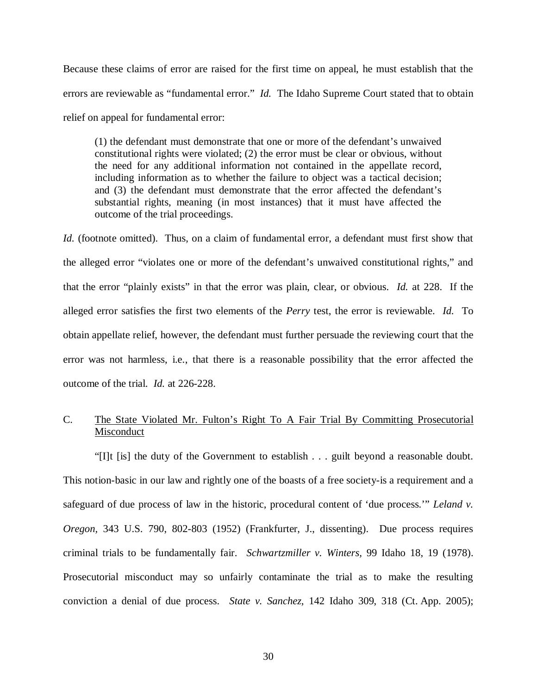Because these claims of error are raised for the first time on appeal, he must establish that the errors are reviewable as "fundamental error." *Id.* The Idaho Supreme Court stated that to obtain relief on appeal for fundamental error:

(1) the defendant must demonstrate that one or more of the defendant's unwaived constitutional rights were violated; (2) the error must be clear or obvious, without the need for any additional information not contained in the appellate record, including information as to whether the failure to object was a tactical decision; and (3) the defendant must demonstrate that the error affected the defendant's substantial rights, meaning (in most instances) that it must have affected the outcome of the trial proceedings.

*Id.* (footnote omitted). Thus, on a claim of fundamental error, a defendant must first show that the alleged error "violates one or more of the defendant's unwaived constitutional rights," and that the error "plainly exists" in that the error was plain, clear, or obvious. *Id.* at 228. If the alleged error satisfies the first two elements of the *Perry* test, the error is reviewable. *Id.* To obtain appellate relief, however, the defendant must further persuade the reviewing court that the error was not harmless, i.e., that there is a reasonable possibility that the error affected the outcome of the trial. *Id.* at 226-228.

# C. The State Violated Mr. Fulton's Right To A Fair Trial By Committing Prosecutorial Misconduct

"[I]t [is] the duty of the Government to establish . . . guilt beyond a reasonable doubt. This notion-basic in our law and rightly one of the boasts of a free society-is a requirement and a safeguard of due process of law in the historic, procedural content of 'due process.'" *Leland v. Oregon,* 343 U.S. 790, 802-803 (1952) (Frankfurter, J., dissenting). Due process requires criminal trials to be fundamentally fair. *Schwartzmiller v. Winters,* 99 Idaho 18, 19 (1978). Prosecutorial misconduct may so unfairly contaminate the trial as to make the resulting conviction a denial of due process. *State v. Sanchez,* 142 Idaho 309, 318 (Ct. App. 2005);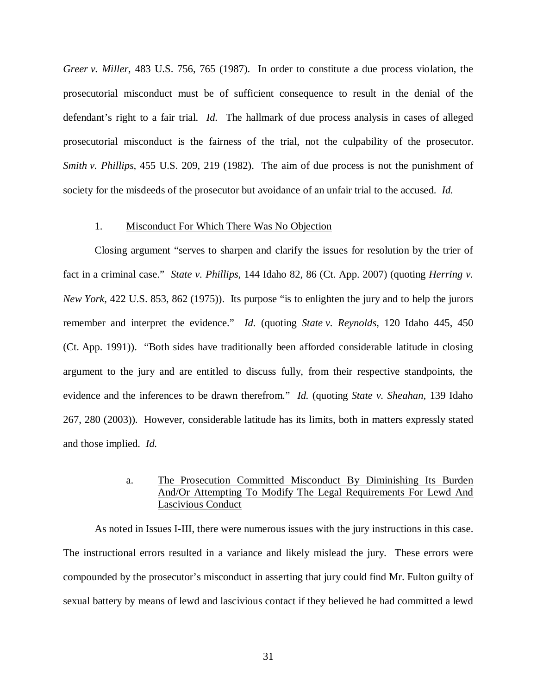*Greer v. Miller,* 483 U.S. 756, 765 (1987). In order to constitute a due process violation, the prosecutorial misconduct must be of sufficient consequence to result in the denial of the defendant's right to a fair trial. *Id.* The hallmark of due process analysis in cases of alleged prosecutorial misconduct is the fairness of the trial, not the culpability of the prosecutor. *Smith v. Phillips,* 455 U.S. 209, 219 (1982). The aim of due process is not the punishment of society for the misdeeds of the prosecutor but avoidance of an unfair trial to the accused. *Id.*

#### 1. Misconduct For Which There Was No Objection

Closing argument "serves to sharpen and clarify the issues for resolution by the trier of fact in a criminal case." *State v. Phillips,* 144 Idaho 82, 86 (Ct. App. 2007) (quoting *Herring v. New York,* 422 U.S. 853, 862 (1975)). Its purpose "is to enlighten the jury and to help the jurors remember and interpret the evidence." *Id.* (quoting *State v. Reynolds,* 120 Idaho 445, 450 (Ct. App. 1991)). "Both sides have traditionally been afforded considerable latitude in closing argument to the jury and are entitled to discuss fully, from their respective standpoints, the evidence and the inferences to be drawn therefrom." *Id.* (quoting *State v. Sheahan,* 139 Idaho 267, 280 (2003)). However, considerable latitude has its limits, both in matters expressly stated and those implied. *Id.*

## a. The Prosecution Committed Misconduct By Diminishing Its Burden And/Or Attempting To Modify The Legal Requirements For Lewd And Lascivious Conduct

As noted in Issues I-III, there were numerous issues with the jury instructions in this case. The instructional errors resulted in a variance and likely mislead the jury. These errors were compounded by the prosecutor's misconduct in asserting that jury could find Mr. Fulton guilty of sexual battery by means of lewd and lascivious contact if they believed he had committed a lewd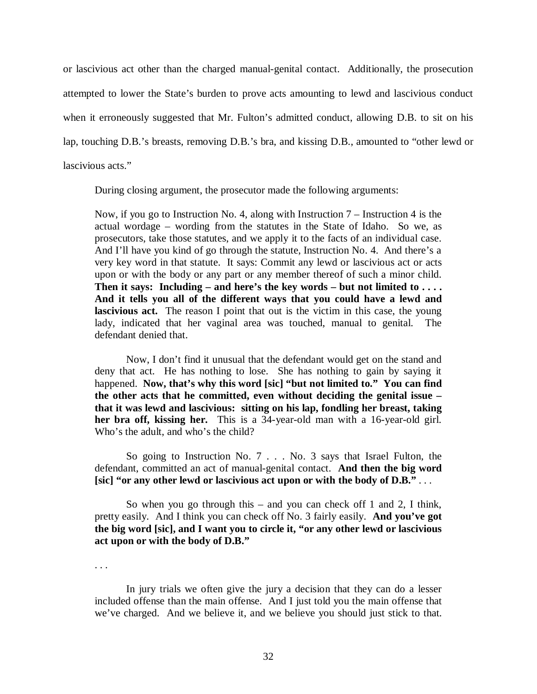or lascivious act other than the charged manual-genital contact. Additionally, the prosecution attempted to lower the State's burden to prove acts amounting to lewd and lascivious conduct when it erroneously suggested that Mr. Fulton's admitted conduct, allowing D.B. to sit on his lap, touching D.B.'s breasts, removing D.B.'s bra, and kissing D.B., amounted to "other lewd or lascivious acts."

During closing argument, the prosecutor made the following arguments:

Now, if you go to Instruction No. 4, along with Instruction 7 – Instruction 4 is the actual wordage – wording from the statutes in the State of Idaho. So we, as prosecutors, take those statutes, and we apply it to the facts of an individual case. And I'll have you kind of go through the statute, Instruction No. 4. And there's a very key word in that statute. It says: Commit any lewd or lascivious act or acts upon or with the body or any part or any member thereof of such a minor child. **Then it says: Including – and here's the key words – but not limited to . . . . And it tells you all of the different ways that you could have a lewd and lascivious act.** The reason I point that out is the victim in this case, the young lady, indicated that her vaginal area was touched, manual to genital. The defendant denied that.

Now, I don't find it unusual that the defendant would get on the stand and deny that act. He has nothing to lose. She has nothing to gain by saying it happened. **Now, that's why this word [sic] "but not limited to." You can find the other acts that he committed, even without deciding the genital issue – that it was lewd and lascivious: sitting on his lap, fondling her breast, taking her bra off, kissing her.** This is a 34-year-old man with a 16-year-old girl. Who's the adult, and who's the child?

So going to Instruction No. 7 . . . No. 3 says that Israel Fulton, the defendant, committed an act of manual-genital contact. **And then the big word [sic] "or any other lewd or lascivious act upon or with the body of D.B."** . . .

So when you go through this – and you can check off 1 and 2, I think, pretty easily. And I think you can check off No. 3 fairly easily. **And you've got the big word [sic], and I want you to circle it, "or any other lewd or lascivious act upon or with the body of D.B."**

. . .

In jury trials we often give the jury a decision that they can do a lesser included offense than the main offense. And I just told you the main offense that we've charged. And we believe it, and we believe you should just stick to that.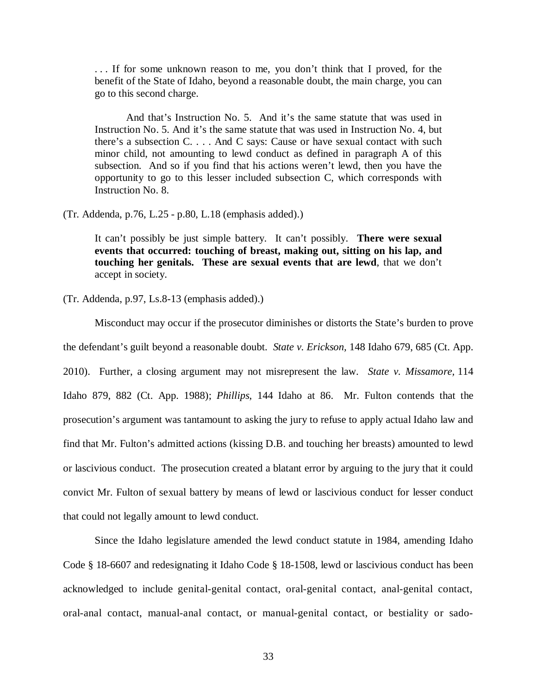. . . If for some unknown reason to me, you don't think that I proved, for the benefit of the State of Idaho, beyond a reasonable doubt, the main charge, you can go to this second charge.

And that's Instruction No. 5. And it's the same statute that was used in Instruction No. 5. And it's the same statute that was used in Instruction No. 4, but there's a subsection C. . . . And C says: Cause or have sexual contact with such minor child, not amounting to lewd conduct as defined in paragraph A of this subsection. And so if you find that his actions weren't lewd, then you have the opportunity to go to this lesser included subsection C, which corresponds with Instruction No. 8.

(Tr. Addenda, p.76, L.25 - p.80, L.18 (emphasis added).)

It can't possibly be just simple battery. It can't possibly. **There were sexual events that occurred: touching of breast, making out, sitting on his lap, and touching her genitals. These are sexual events that are lewd**, that we don't accept in society.

(Tr. Addenda, p.97, Ls.8-13 (emphasis added).)

Misconduct may occur if the prosecutor diminishes or distorts the State's burden to prove the defendant's guilt beyond a reasonable doubt. *State v. Erickson,* 148 Idaho 679, 685 (Ct. App. 2010). Further, a closing argument may not misrepresent the law. *State v. Missamore,* 114 Idaho 879, 882 (Ct. App. 1988); *Phillips*, 144 Idaho at 86. Mr. Fulton contends that the prosecution's argument was tantamount to asking the jury to refuse to apply actual Idaho law and find that Mr. Fulton's admitted actions (kissing D.B. and touching her breasts) amounted to lewd or lascivious conduct. The prosecution created a blatant error by arguing to the jury that it could convict Mr. Fulton of sexual battery by means of lewd or lascivious conduct for lesser conduct that could not legally amount to lewd conduct.

Since the Idaho legislature amended the lewd conduct statute in 1984, amending Idaho Code § 18-6607 and redesignating it Idaho Code § 18-1508, lewd or lascivious conduct has been acknowledged to include genital-genital contact, oral-genital contact, anal-genital contact, oral-anal contact, manual-anal contact, or manual-genital contact, or bestiality or sado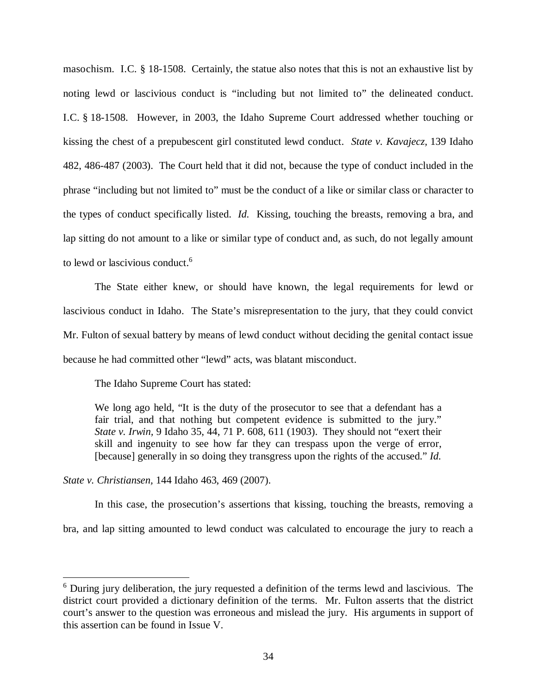masochism. I.C. § 18-1508. Certainly, the statue also notes that this is not an exhaustive list by noting lewd or lascivious conduct is "including but not limited to" the delineated conduct. I.C. § 18-1508. However, in 2003, the Idaho Supreme Court addressed whether touching or kissing the chest of a prepubescent girl constituted lewd conduct. *State v. Kavajecz,* 139 Idaho 482, 486-487 (2003). The Court held that it did not, because the type of conduct included in the phrase "including but not limited to" must be the conduct of a like or similar class or character to the types of conduct specifically listed. *Id.* Kissing, touching the breasts, removing a bra, and lap sitting do not amount to a like or similar type of conduct and, as such, do not legally amount to lewd or lascivious conduct.<sup>[6](#page-43-0)</sup>

The State either knew, or should have known, the legal requirements for lewd or lascivious conduct in Idaho. The State's misrepresentation to the jury, that they could convict Mr. Fulton of sexual battery by means of lewd conduct without deciding the genital contact issue because he had committed other "lewd" acts, was blatant misconduct.

The Idaho Supreme Court has stated:

We long ago held, "It is the duty of the prosecutor to see that a defendant has a fair trial, and that nothing but competent evidence is submitted to the jury." *State v. Irwin,* 9 Idaho 35, 44, 71 P. 608, 611 (1903). They should not "exert their skill and ingenuity to see how far they can trespass upon the verge of error, [because] generally in so doing they transgress upon the rights of the accused." *Id.*

*State v. Christiansen,* 144 Idaho 463, 469 (2007).

In this case, the prosecution's assertions that kissing, touching the breasts, removing a bra, and lap sitting amounted to lewd conduct was calculated to encourage the jury to reach a

<span id="page-43-0"></span><sup>&</sup>lt;sup>6</sup> During jury deliberation, the jury requested a definition of the terms lewd and lascivious. The district court provided a dictionary definition of the terms. Mr. Fulton asserts that the district court's answer to the question was erroneous and mislead the jury. His arguments in support of this assertion can be found in Issue V.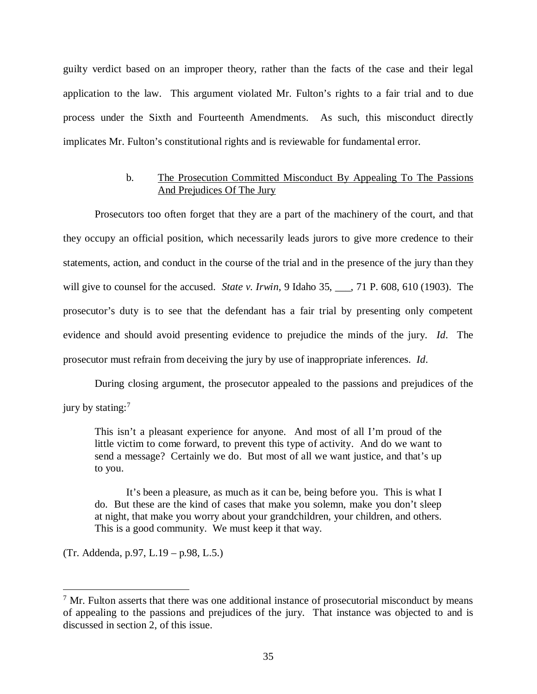guilty verdict based on an improper theory, rather than the facts of the case and their legal application to the law. This argument violated Mr. Fulton's rights to a fair trial and to due process under the Sixth and Fourteenth Amendments. As such, this misconduct directly implicates Mr. Fulton's constitutional rights and is reviewable for fundamental error.

### b. The Prosecution Committed Misconduct By Appealing To The Passions And Prejudices Of The Jury

Prosecutors too often forget that they are a part of the machinery of the court, and that they occupy an official position, which necessarily leads jurors to give more credence to their statements, action, and conduct in the course of the trial and in the presence of the jury than they will give to counsel for the accused. *State v. Irwin*, 9 Idaho 35, 17 P. 608, 610 (1903). The prosecutor's duty is to see that the defendant has a fair trial by presenting only competent evidence and should avoid presenting evidence to prejudice the minds of the jury. *Id*. The prosecutor must refrain from deceiving the jury by use of inappropriate inferences. *Id*.

During closing argument, the prosecutor appealed to the passions and prejudices of the jury by stating:<sup>[7](#page-44-0)</sup>

This isn't a pleasant experience for anyone. And most of all I'm proud of the little victim to come forward, to prevent this type of activity. And do we want to send a message? Certainly we do. But most of all we want justice, and that's up to you.

It's been a pleasure, as much as it can be, being before you. This is what I do. But these are the kind of cases that make you solemn, make you don't sleep at night, that make you worry about your grandchildren, your children, and others. This is a good community. We must keep it that way.

(Tr. Addenda, p.97, L.19 – p.98, L.5.)

<span id="page-44-0"></span> $<sup>7</sup>$  Mr. Fulton asserts that there was one additional instance of prosecutorial misconduct by means</sup> of appealing to the passions and prejudices of the jury. That instance was objected to and is discussed in section 2, of this issue.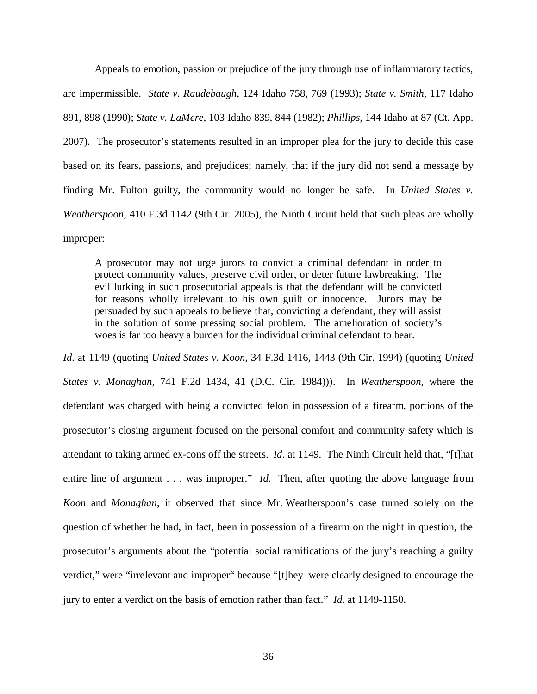Appeals to emotion, passion or prejudice of the jury through use of inflammatory tactics, are impermissible. *State v. Raudebaugh*, 124 Idaho 758, 769 (1993); *State v. Smith*, 117 Idaho 891, 898 (1990); *State v. LaMere*, 103 Idaho 839, 844 (1982); *Phillips*, 144 Idaho at 87 (Ct. App. 2007). The prosecutor's statements resulted in an improper plea for the jury to decide this case based on its fears, passions, and prejudices; namely, that if the jury did not send a message by finding Mr. Fulton guilty, the community would no longer be safe. In *United States v. Weatherspoon*, 410 F.3d 1142 (9th Cir. 2005), the Ninth Circuit held that such pleas are wholly improper:

A prosecutor may not urge jurors to convict a criminal defendant in order to protect community values, preserve civil order, or deter future lawbreaking. The evil lurking in such prosecutorial appeals is that the defendant will be convicted for reasons wholly irrelevant to his own guilt or innocence. Jurors may be persuaded by such appeals to believe that, convicting a defendant, they will assist in the solution of some pressing social problem. The amelioration of society's woes is far too heavy a burden for the individual criminal defendant to bear.

*Id*. at 1149 (quoting *United States v. Koon*, 34 F.3d 1416, 1443 (9th Cir. 1994) (quoting *United States v. Monaghan*, 741 F.2d 1434, 41 (D.C. Cir. 1984))). In *Weatherspoon*, where the defendant was charged with being a convicted felon in possession of a firearm, portions of the prosecutor's closing argument focused on the personal comfort and community safety which is attendant to taking armed ex-cons off the streets. *Id*. at 1149. The Ninth Circuit held that, "[t]hat entire line of argument . . . was improper." *Id*. Then, after quoting the above language from *Koon* and *Monaghan*, it observed that since Mr. Weatherspoon's case turned solely on the question of whether he had, in fact, been in possession of a firearm on the night in question, the prosecutor's arguments about the "potential social ramifications of the jury's reaching a guilty verdict," were "irrelevant and improper" because "[t]hey were clearly designed to encourage the jury to enter a verdict on the basis of emotion rather than fact." *Id*. at 1149-1150.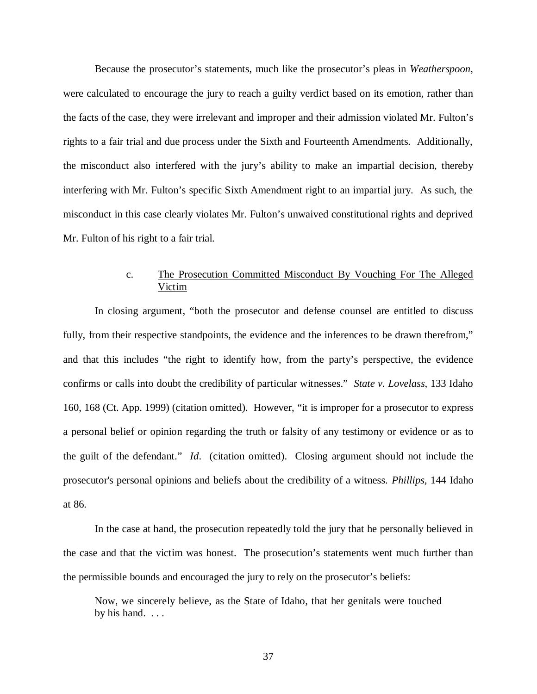Because the prosecutor's statements, much like the prosecutor's pleas in *Weatherspoon*, were calculated to encourage the jury to reach a guilty verdict based on its emotion, rather than the facts of the case, they were irrelevant and improper and their admission violated Mr. Fulton's rights to a fair trial and due process under the Sixth and Fourteenth Amendments. Additionally, the misconduct also interfered with the jury's ability to make an impartial decision, thereby interfering with Mr. Fulton's specific Sixth Amendment right to an impartial jury. As such, the misconduct in this case clearly violates Mr. Fulton's unwaived constitutional rights and deprived Mr. Fulton of his right to a fair trial.

## c. The Prosecution Committed Misconduct By Vouching For The Alleged Victim

In closing argument, "both the prosecutor and defense counsel are entitled to discuss fully, from their respective standpoints, the evidence and the inferences to be drawn therefrom," and that this includes "the right to identify how, from the party's perspective, the evidence confirms or calls into doubt the credibility of particular witnesses." *State v. Lovelass*, 133 Idaho 160, 168 (Ct. App. 1999) (citation omitted). However, "it is improper for a prosecutor to express a personal belief or opinion regarding the truth or falsity of any testimony or evidence or as to the guilt of the defendant." *Id*. (citation omitted). Closing argument should not include the prosecutor's personal opinions and beliefs about the credibility of a witness. *Phillips,* 144 Idaho at 86.

In the case at hand, the prosecution repeatedly told the jury that he personally believed in the case and that the victim was honest. The prosecution's statements went much further than the permissible bounds and encouraged the jury to rely on the prosecutor's beliefs:

Now, we sincerely believe, as the State of Idaho, that her genitals were touched by his hand...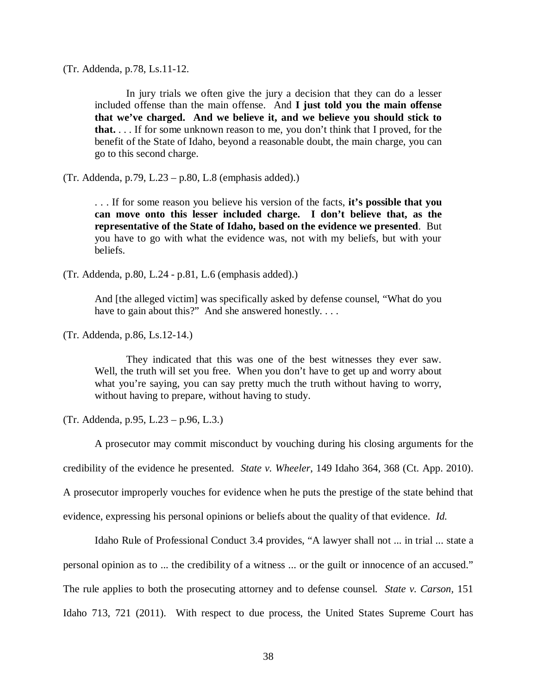(Tr. Addenda, p.78, Ls.11-12.

In jury trials we often give the jury a decision that they can do a lesser included offense than the main offense. And **I just told you the main offense that we've charged. And we believe it, and we believe you should stick to that.** . . . If for some unknown reason to me, you don't think that I proved, for the benefit of the State of Idaho, beyond a reasonable doubt, the main charge, you can go to this second charge.

(Tr. Addenda, p.79, L.23 – p.80, L.8 (emphasis added).)

. . . If for some reason you believe his version of the facts, **it's possible that you can move onto this lesser included charge. I don't believe that, as the representative of the State of Idaho, based on the evidence we presented**. But you have to go with what the evidence was, not with my beliefs, but with your beliefs.

(Tr. Addenda, p.80, L.24 - p.81, L.6 (emphasis added).)

And [the alleged victim] was specifically asked by defense counsel, "What do you have to gain about this?" And she answered honestly....

(Tr. Addenda, p.86, Ls.12-14.)

They indicated that this was one of the best witnesses they ever saw. Well, the truth will set you free. When you don't have to get up and worry about what you're saying, you can say pretty much the truth without having to worry, without having to prepare, without having to study.

(Tr. Addenda, p.95, L.23 – p.96, L.3.)

A prosecutor may commit misconduct by vouching during his closing arguments for the credibility of the evidence he presented. *State v. Wheeler*, 149 Idaho 364, 368 (Ct. App. 2010). A prosecutor improperly vouches for evidence when he puts the prestige of the state behind that evidence, expressing his personal opinions or beliefs about the quality of that evidence. *Id.*

[Idaho Rule of Professional Conduct 3.4](https://a.next.westlaw.com/Link/Document/FullText?findType=L&pubNum=1006353&cite=IDRRPCR3.4&originatingDoc=I2a6d566a093911e1a06efc94fb34cdeb&refType=LQ&originationContext=document&transitionType=DocumentItem&contextData=(sc.Search)) provides, "A lawyer shall not ... in trial ... state a personal opinion as to ... the credibility of a witness ... or the guilt or innocence of an accused." The rule applies to both the prosecuting attorney and to defense counsel. *State v. Carson,* 151 Idaho 713, 721 (2011). With respect to due process, the United States Supreme Court has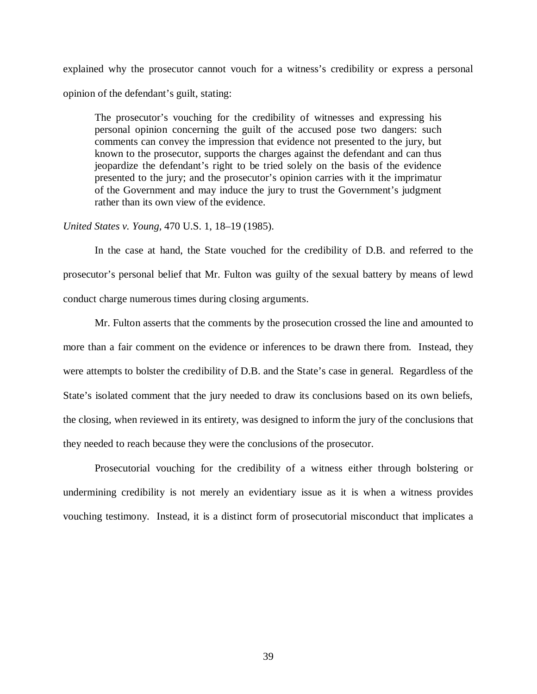explained why the prosecutor cannot vouch for a witness's credibility or express a personal opinion of the defendant's guilt, stating:

The prosecutor's vouching for the credibility of witnesses and expressing his personal opinion concerning the guilt of the accused pose two dangers: such comments can convey the impression that evidence not presented to the jury, but known to the prosecutor, supports the charges against the defendant and can thus jeopardize the defendant's right to be tried solely on the basis of the evidence presented to the jury; and the prosecutor's opinion carries with it the imprimatur of the Government and may induce the jury to trust the Government's judgment rather than its own view of the evidence.

### *United States v. Young,* 470 U.S. 1, 18–19 (1985).

In the case at hand, the State vouched for the credibility of D.B. and referred to the prosecutor's personal belief that Mr. Fulton was guilty of the sexual battery by means of lewd conduct charge numerous times during closing arguments.

Mr. Fulton asserts that the comments by the prosecution crossed the line and amounted to more than a fair comment on the evidence or inferences to be drawn there from. Instead, they were attempts to bolster the credibility of D.B. and the State's case in general. Regardless of the State's isolated comment that the jury needed to draw its conclusions based on its own beliefs, the closing, when reviewed in its entirety, was designed to inform the jury of the conclusions that they needed to reach because they were the conclusions of the prosecutor.

Prosecutorial vouching for the credibility of a witness either through bolstering or undermining credibility is not merely an evidentiary issue as it is when a witness provides vouching testimony. Instead, it is a distinct form of prosecutorial misconduct that implicates a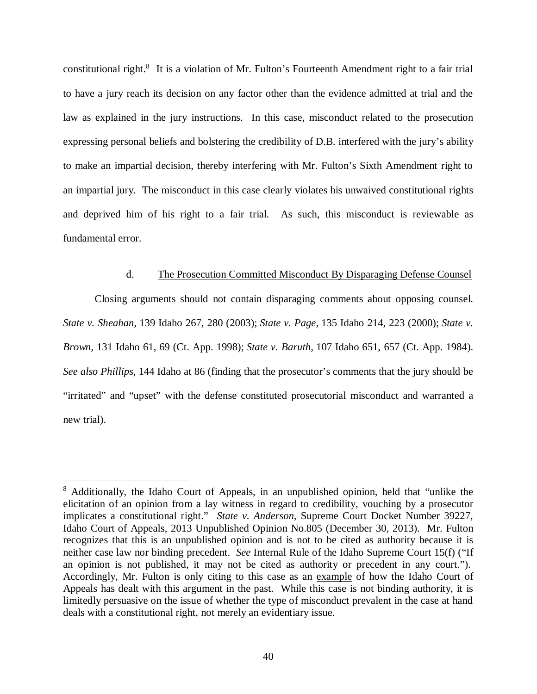constitutional right.<sup>[8](#page-49-0)</sup> It is a violation of Mr. Fulton's Fourteenth Amendment right to a fair trial to have a jury reach its decision on any factor other than the evidence admitted at trial and the law as explained in the jury instructions. In this case, misconduct related to the prosecution expressing personal beliefs and bolstering the credibility of D.B. interfered with the jury's ability to make an impartial decision, thereby interfering with Mr. Fulton's Sixth Amendment right to an impartial jury. The misconduct in this case clearly violates his unwaived constitutional rights and deprived him of his right to a fair trial. As such, this misconduct is reviewable as fundamental error.

### d. The Prosecution Committed Misconduct By Disparaging Defense Counsel

Closing arguments should not contain disparaging comments about opposing counsel. *State v. Sheahan,* 139 Idaho 267, 280 (2003); *State v. Page,* 135 Idaho 214, 223 (2000); *State v. Brown,* 131 Idaho 61, 69 (Ct. App. 1998); *State v. Baruth,* 107 Idaho 651, 657 (Ct. App. 1984). *See also Phillips,* 144 Idaho at 86 (finding that the prosecutor's comments that the jury should be "irritated" and "upset" with the defense constituted prosecutorial misconduct and warranted a new trial).

<span id="page-49-0"></span><sup>&</sup>lt;sup>8</sup> Additionally, the Idaho Court of Appeals, in an unpublished opinion, held that "unlike the elicitation of an opinion from a lay witness in regard to credibility, vouching by a prosecutor implicates a constitutional right." *State v. Anderson*, Supreme Court Docket Number 39227, Idaho Court of Appeals, 2013 Unpublished Opinion No.805 (December 30, 2013). Mr. Fulton recognizes that this is an unpublished opinion and is not to be cited as authority because it is neither case law nor binding precedent. *See* Internal Rule of the Idaho Supreme Court 15(f) ("If an opinion is not published, it may not be cited as authority or precedent in any court."). Accordingly, Mr. Fulton is only citing to this case as an example of how the Idaho Court of Appeals has dealt with this argument in the past. While this case is not binding authority, it is limitedly persuasive on the issue of whether the type of misconduct prevalent in the case at hand deals with a constitutional right, not merely an evidentiary issue.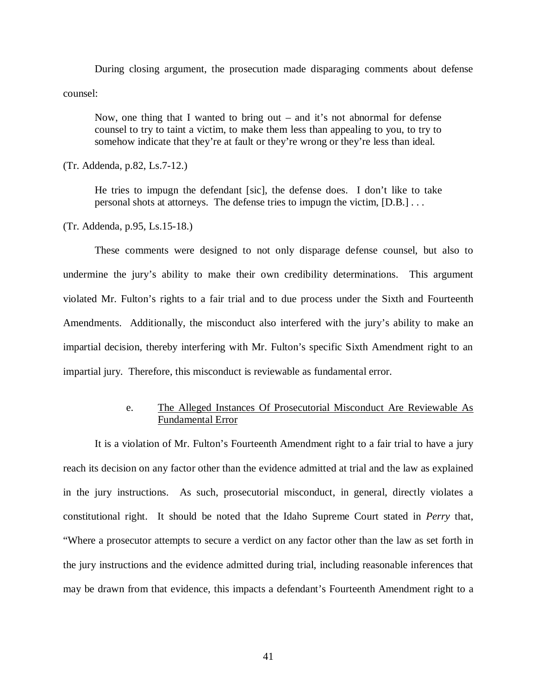During closing argument, the prosecution made disparaging comments about defense counsel:

Now, one thing that I wanted to bring out – and it's not abnormal for defense counsel to try to taint a victim, to make them less than appealing to you, to try to somehow indicate that they're at fault or they're wrong or they're less than ideal.

(Tr. Addenda, p.82, Ls.7-12.)

He tries to impugn the defendant [sic], the defense does. I don't like to take personal shots at attorneys. The defense tries to impugn the victim, [D.B.] . . .

(Tr. Addenda, p.95, Ls.15-18.)

These comments were designed to not only disparage defense counsel, but also to undermine the jury's ability to make their own credibility determinations. This argument violated Mr. Fulton's rights to a fair trial and to due process under the Sixth and Fourteenth Amendments. Additionally, the misconduct also interfered with the jury's ability to make an impartial decision, thereby interfering with Mr. Fulton's specific Sixth Amendment right to an impartial jury. Therefore, this misconduct is reviewable as fundamental error.

### e. The Alleged Instances Of Prosecutorial Misconduct Are Reviewable As Fundamental Error

It is a violation of Mr. Fulton's Fourteenth Amendment right to a fair trial to have a jury reach its decision on any factor other than the evidence admitted at trial and the law as explained in the jury instructions. As such, prosecutorial misconduct, in general, directly violates a constitutional right. It should be noted that the Idaho Supreme Court stated in *Perry* that, "Where a prosecutor attempts to secure a verdict on any factor other than the law as set forth in the jury instructions and the evidence admitted during trial, including reasonable inferences that may be drawn from that evidence, this impacts a defendant's Fourteenth Amendment right to a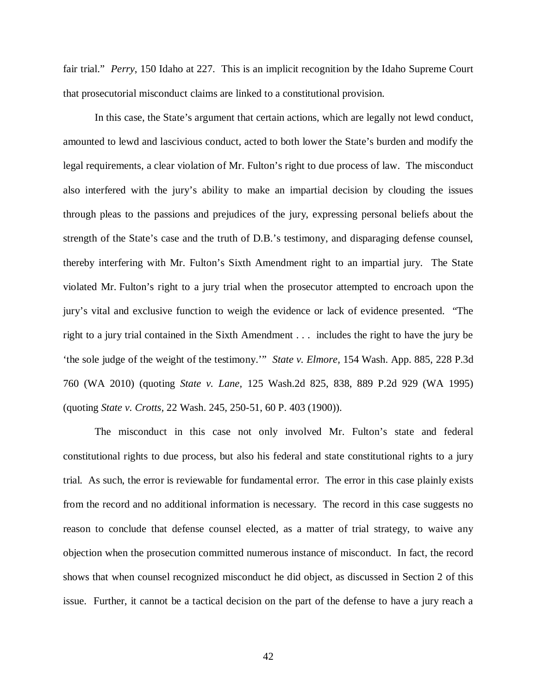fair trial." *Perry*, 150 Idaho at 227. This is an implicit recognition by the Idaho Supreme Court that prosecutorial misconduct claims are linked to a constitutional provision.

In this case, the State's argument that certain actions, which are legally not lewd conduct, amounted to lewd and lascivious conduct, acted to both lower the State's burden and modify the legal requirements, a clear violation of Mr. Fulton's right to due process of law. The misconduct also interfered with the jury's ability to make an impartial decision by clouding the issues through pleas to the passions and prejudices of the jury, expressing personal beliefs about the strength of the State's case and the truth of D.B.'s testimony, and disparaging defense counsel, thereby interfering with Mr. Fulton's Sixth Amendment right to an impartial jury. The State violated Mr. Fulton's right to a jury trial when the prosecutor attempted to encroach upon the jury's vital and exclusive function to weigh the evidence or lack of evidence presented. "The right to a jury trial contained in the Sixth Amendment . . . includes the right to have the jury be 'the sole judge of the weight of the testimony.'" *State v. Elmore,* 154 Wash. App. 885, 228 P.3d 760 (WA 2010) (quoting *State v. Lane,* 125 Wash.2d 825, 838, 889 P.2d 929 (WA 1995) (quoting *State v. Crotts,* 22 Wash. 245, 250-51, 60 P. 403 (1900)).

The misconduct in this case not only involved Mr. Fulton's state and federal constitutional rights to due process, but also his federal and state constitutional rights to a jury trial. As such, the error is reviewable for fundamental error. The error in this case plainly exists from the record and no additional information is necessary. The record in this case suggests no reason to conclude that defense counsel elected, as a matter of trial strategy, to waive any objection when the prosecution committed numerous instance of misconduct. In fact, the record shows that when counsel recognized misconduct he did object, as discussed in Section 2 of this issue. Further, it cannot be a tactical decision on the part of the defense to have a jury reach a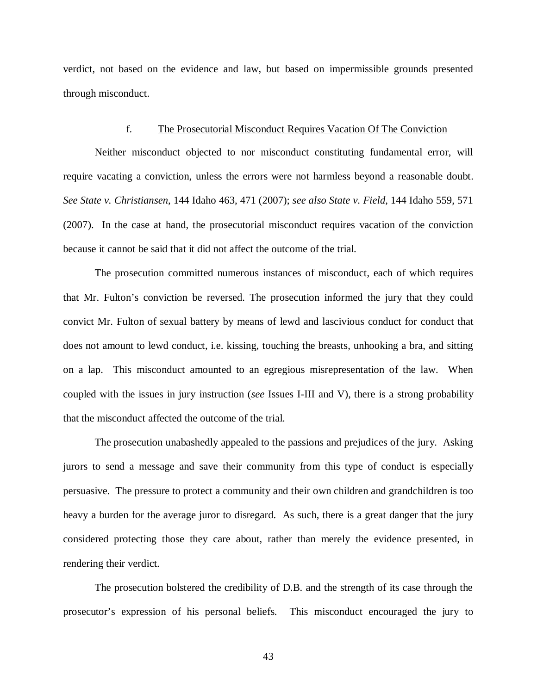verdict, not based on the evidence and law, but based on impermissible grounds presented through misconduct.

#### f. The Prosecutorial Misconduct Requires Vacation Of The Conviction

Neither misconduct objected to nor misconduct constituting fundamental error, will require vacating a conviction, unless the errors were not harmless beyond a reasonable doubt. *See State v. Christiansen*, 144 Idaho 463, 471 (2007); *see also State v. Field*, 144 Idaho 559, 571 (2007). In the case at hand, the prosecutorial misconduct requires vacation of the conviction because it cannot be said that it did not affect the outcome of the trial.

The prosecution committed numerous instances of misconduct, each of which requires that Mr. Fulton's conviction be reversed. The prosecution informed the jury that they could convict Mr. Fulton of sexual battery by means of lewd and lascivious conduct for conduct that does not amount to lewd conduct, i.e. kissing, touching the breasts, unhooking a bra, and sitting on a lap. This misconduct amounted to an egregious misrepresentation of the law. When coupled with the issues in jury instruction (*see* Issues I-III and V), there is a strong probability that the misconduct affected the outcome of the trial.

The prosecution unabashedly appealed to the passions and prejudices of the jury. Asking jurors to send a message and save their community from this type of conduct is especially persuasive. The pressure to protect a community and their own children and grandchildren is too heavy a burden for the average juror to disregard. As such, there is a great danger that the jury considered protecting those they care about, rather than merely the evidence presented, in rendering their verdict.

The prosecution bolstered the credibility of D.B. and the strength of its case through the prosecutor's expression of his personal beliefs. This misconduct encouraged the jury to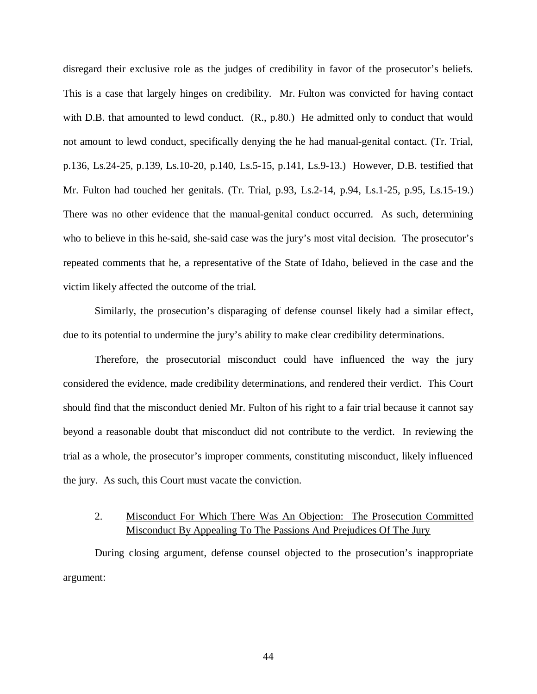disregard their exclusive role as the judges of credibility in favor of the prosecutor's beliefs. This is a case that largely hinges on credibility. Mr. Fulton was convicted for having contact with D.B. that amounted to lewd conduct.  $(R., p.80.)$  He admitted only to conduct that would not amount to lewd conduct, specifically denying the he had manual-genital contact. (Tr. Trial, p.136, Ls.24-25, p.139, Ls.10-20, p.140, Ls.5-15, p.141, Ls.9-13.) However, D.B. testified that Mr. Fulton had touched her genitals. (Tr. Trial, p.93, Ls.2-14, p.94, Ls.1-25, p.95, Ls.15-19.) There was no other evidence that the manual-genital conduct occurred. As such, determining who to believe in this he-said, she-said case was the jury's most vital decision. The prosecutor's repeated comments that he, a representative of the State of Idaho, believed in the case and the victim likely affected the outcome of the trial.

Similarly, the prosecution's disparaging of defense counsel likely had a similar effect, due to its potential to undermine the jury's ability to make clear credibility determinations.

Therefore, the prosecutorial misconduct could have influenced the way the jury considered the evidence, made credibility determinations, and rendered their verdict. This Court should find that the misconduct denied Mr. Fulton of his right to a fair trial because it cannot say beyond a reasonable doubt that misconduct did not contribute to the verdict. In reviewing the trial as a whole, the prosecutor's improper comments, constituting misconduct, likely influenced the jury. As such, this Court must vacate the conviction.

# 2. Misconduct For Which There Was An Objection: The Prosecution Committed Misconduct By Appealing To The Passions And Prejudices Of The Jury

During closing argument, defense counsel objected to the prosecution's inappropriate argument: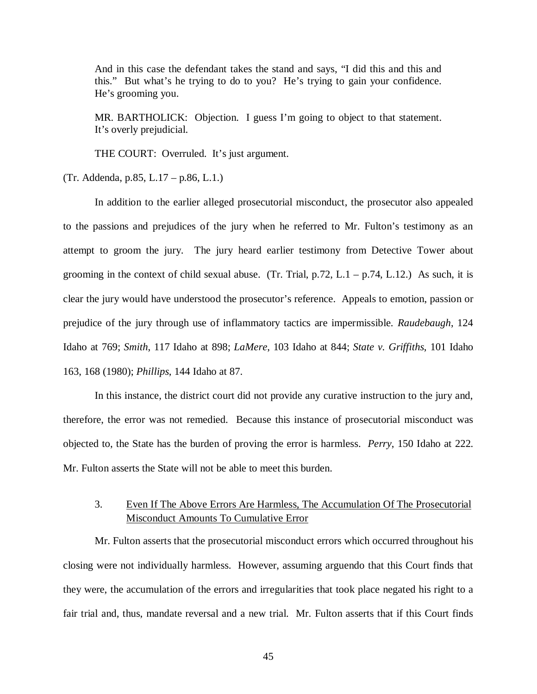And in this case the defendant takes the stand and says, "I did this and this and this." But what's he trying to do to you? He's trying to gain your confidence. He's grooming you.

MR. BARTHOLICK: Objection. I guess I'm going to object to that statement. It's overly prejudicial.

THE COURT: Overruled. It's just argument.

(Tr. Addenda, p.85, L.17 – p.86, L.1.)

In addition to the earlier alleged prosecutorial misconduct, the prosecutor also appealed to the passions and prejudices of the jury when he referred to Mr. Fulton's testimony as an attempt to groom the jury. The jury heard earlier testimony from Detective Tower about grooming in the context of child sexual abuse. (Tr. Trial,  $p.72$ , L.1 –  $p.74$ , L.12.) As such, it is clear the jury would have understood the prosecutor's reference. Appeals to emotion, passion or prejudice of the jury through use of inflammatory tactics are impermissible. *Raudebaugh*, 124 Idaho at 769; *Smith*, 117 Idaho at 898; *LaMere*, 103 Idaho at 844; *State v. Griffiths*, 101 Idaho 163, 168 (1980); *Phillips*, 144 Idaho at 87.

In this instance, the district court did not provide any curative instruction to the jury and, therefore, the error was not remedied. Because this instance of prosecutorial misconduct was objected to, the State has the burden of proving the error is harmless. *Perry*, 150 Idaho at 222. Mr. Fulton asserts the State will not be able to meet this burden.

3. Even If The Above Errors Are Harmless, The Accumulation Of The Prosecutorial Misconduct Amounts To Cumulative Error

Mr. Fulton asserts that the prosecutorial misconduct errors which occurred throughout his closing were not individually harmless. However, assuming arguendo that this Court finds that they were, the accumulation of the errors and irregularities that took place negated his right to a fair trial and, thus, mandate reversal and a new trial. Mr. Fulton asserts that if this Court finds

45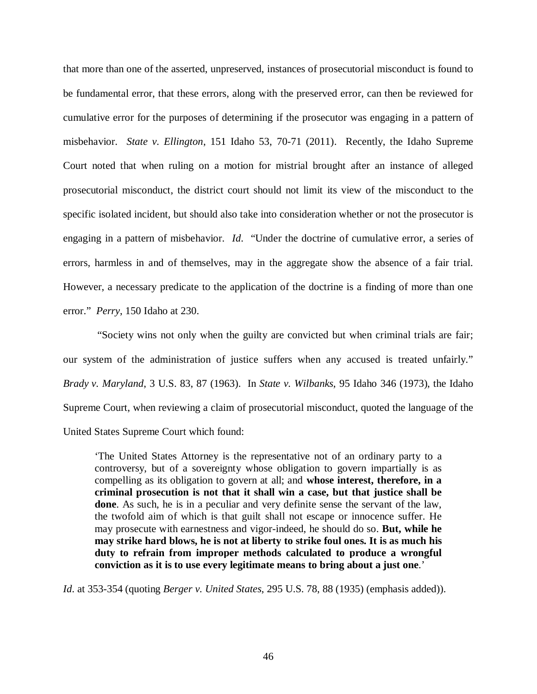that more than one of the asserted, unpreserved, instances of prosecutorial misconduct is found to be fundamental error, that these errors, along with the preserved error, can then be reviewed for cumulative error for the purposes of determining if the prosecutor was engaging in a pattern of misbehavior. *State v. Ellington*, 151 Idaho 53, 70-71 (2011). Recently, the Idaho Supreme Court noted that when ruling on a motion for mistrial brought after an instance of alleged prosecutorial misconduct, the district court should not limit its view of the misconduct to the specific isolated incident, but should also take into consideration whether or not the prosecutor is engaging in a pattern of misbehavior. *Id*. "Under the doctrine of cumulative error, a series of errors, harmless in and of themselves, may in the aggregate show the absence of a fair trial. However, a necessary predicate to the application of the doctrine is a finding of more than one error." *Perry*, 150 Idaho at 230.

 "Society wins not only when the guilty are convicted but when criminal trials are fair; our system of the administration of justice suffers when any accused is treated unfairly." *Brady v. Maryland*, 3 U.S. 83, 87 (1963). In *State v. Wilbanks*, 95 Idaho 346 (1973), the Idaho Supreme Court, when reviewing a claim of prosecutorial misconduct, quoted the language of the United States Supreme Court which found:

'The United States Attorney is the representative not of an ordinary party to a controversy, but of a sovereignty whose obligation to govern impartially is as compelling as its obligation to govern at all; and **whose interest, therefore, in a criminal prosecution is not that it shall win a case, but that justice shall be done**. As such, he is in a peculiar and very definite sense the servant of the law, the twofold aim of which is that guilt shall not escape or innocence suffer. He may prosecute with earnestness and vigor-indeed, he should do so. **But, while he may strike hard blows, he is not at liberty to strike foul ones. It is as much his duty to refrain from improper methods calculated to produce a wrongful conviction as it is to use every legitimate means to bring about a just one**.'

*Id*. at 353-354 (quoting *Berger v. United States*, 295 U.S. 78, 88 (1935) (emphasis added)).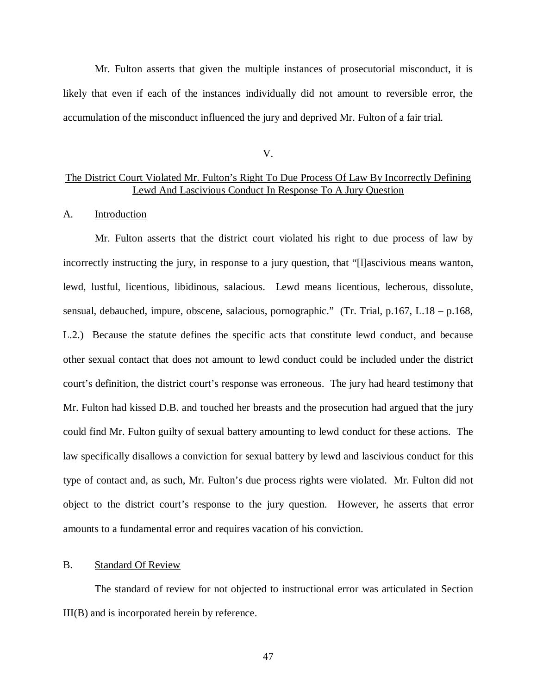Mr. Fulton asserts that given the multiple instances of prosecutorial misconduct, it is likely that even if each of the instances individually did not amount to reversible error, the accumulation of the misconduct influenced the jury and deprived Mr. Fulton of a fair trial.

V.

### The District Court Violated Mr. Fulton's Right To Due Process Of Law By Incorrectly Defining Lewd And Lascivious Conduct In Response To A Jury Question

### A. Introduction

Mr. Fulton asserts that the district court violated his right to due process of law by incorrectly instructing the jury, in response to a jury question, that "[l]ascivious means wanton, lewd, lustful, licentious, libidinous, salacious. Lewd means licentious, lecherous, dissolute, sensual, debauched, impure, obscene, salacious, pornographic." (Tr. Trial, p.167, L.18 – p.168, L.2.) Because the statute defines the specific acts that constitute lewd conduct, and because other sexual contact that does not amount to lewd conduct could be included under the district court's definition, the district court's response was erroneous. The jury had heard testimony that Mr. Fulton had kissed D.B. and touched her breasts and the prosecution had argued that the jury could find Mr. Fulton guilty of sexual battery amounting to lewd conduct for these actions. The law specifically disallows a conviction for sexual battery by lewd and lascivious conduct for this type of contact and, as such, Mr. Fulton's due process rights were violated. Mr. Fulton did not object to the district court's response to the jury question. However, he asserts that error amounts to a fundamental error and requires vacation of his conviction.

### B. Standard Of Review

The standard of review for not objected to instructional error was articulated in Section III(B) and is incorporated herein by reference.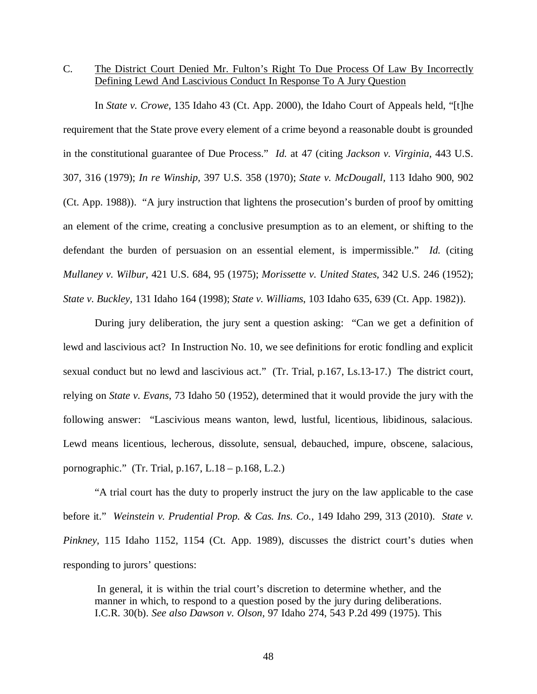C. The District Court Denied Mr. Fulton's Right To Due Process Of Law By Incorrectly Defining Lewd And Lascivious Conduct In Response To A Jury Question

In *State v. Crowe*, 135 Idaho 43 (Ct. App. 2000), the Idaho Court of Appeals held, "[t]he requirement that the State prove every element of a crime beyond a reasonable doubt is grounded in the constitutional guarantee of Due Process." *Id.* at 47 (citing *Jackson v. Virginia,* 443 U.S. 307, 316 (1979); *In re Winship,* 397 U.S. 358 (1970); *State v. McDougall,* 113 Idaho 900, 902 (Ct. App. 1988)). "A jury instruction that lightens the prosecution's burden of proof by omitting an element of the crime, creating a conclusive presumption as to an element, or shifting to the defendant the burden of persuasion on an essential element, is impermissible." *Id.* (citing *Mullaney v. Wilbur,* 421 U.S. 684, 95 (1975); *Morissette v. United States,* 342 U.S. 246 (1952); *State v. Buckley,* 131 Idaho 164 (1998); *State v. Williams*, 103 Idaho 635, 639 (Ct. App. 1982)).

During jury deliberation, the jury sent a question asking: "Can we get a definition of lewd and lascivious act? In Instruction No. 10, we see definitions for erotic fondling and explicit sexual conduct but no lewd and lascivious act." (Tr. Trial, p.167, Ls.13-17.) The district court, relying on *State v. Evans*, 73 Idaho 50 (1952), determined that it would provide the jury with the following answer: "Lascivious means wanton, lewd, lustful, licentious, libidinous, salacious. Lewd means licentious, lecherous, dissolute, sensual, debauched, impure, obscene, salacious, pornographic." (Tr. Trial, p.167, L.18 – p.168, L.2.)

"A trial court has the duty to properly instruct the jury on the law applicable to the case before it." *Weinstein v. Prudential Prop. & Cas. Ins. Co.*, 149 Idaho 299, 313 (2010). *State v. Pinkney*, 115 Idaho 1152, 1154 (Ct. App. 1989), discusses the district court's duties when responding to jurors' questions:

 In general, it is within the trial court's discretion to determine whether, and the manner in which, to respond to a question posed by the jury during deliberations. I.C.R. 30(b). *See also Dawson v. Olson,* 97 Idaho 274, 543 P.2d 499 (1975). This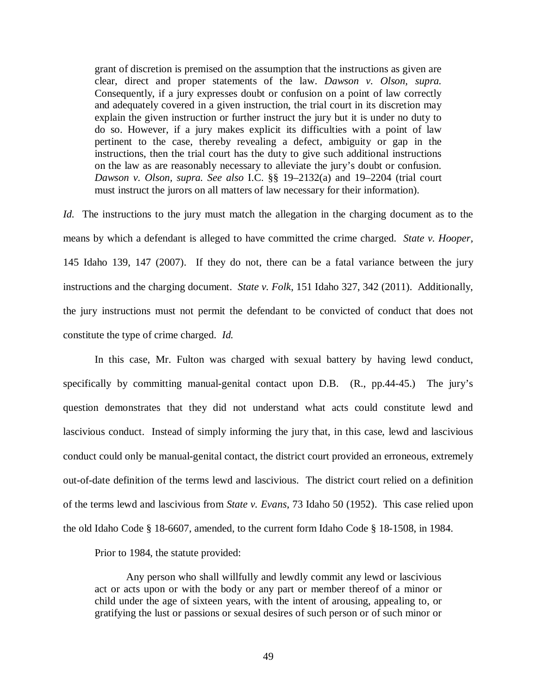grant of discretion is premised on the assumption that the instructions as given are clear, direct and proper statements of the law. *Dawson v. Olson, supra.* Consequently, if a jury expresses doubt or confusion on a point of law correctly and adequately covered in a given instruction, the trial court in its discretion may explain the given instruction or further instruct the jury but it is under no duty to do so. However, if a jury makes explicit its difficulties with a point of law pertinent to the case, thereby revealing a defect, ambiguity or gap in the instructions, then the trial court has the duty to give such additional instructions on the law as are reasonably necessary to alleviate the jury's doubt or confusion. *Dawson v. Olson, supra. See also* I.C. §§ 19–2132(a) and 19–2204 (trial court must instruct the jurors on all matters of law necessary for their information).

*Id.* The instructions to the jury must match the allegation in the charging document as to the means by which a defendant is alleged to have committed the crime charged. *State v. Hooper,* 145 Idaho 139, 147 (2007). If they do not, there can be a fatal variance between the jury instructions and the charging document. *State v. Folk*, 151 Idaho 327, 342 (2011). Additionally, the jury instructions must not permit the defendant to be convicted of conduct that does not constitute the type of crime charged. *Id.*

In this case, Mr. Fulton was charged with sexual battery by having lewd conduct, specifically by committing manual-genital contact upon D.B. (R., pp.44-45.) The jury's question demonstrates that they did not understand what acts could constitute lewd and lascivious conduct. Instead of simply informing the jury that, in this case, lewd and lascivious conduct could only be manual-genital contact, the district court provided an erroneous, extremely out-of-date definition of the terms lewd and lascivious. The district court relied on a definition of the terms lewd and lascivious from *State v. Evans*, 73 Idaho 50 (1952). This case relied upon the old Idaho Code § 18-6607, amended, to the current form Idaho Code § 18-1508, in 1984.

Prior to 1984, the statute provided:

Any person who shall willfully and lewdly commit any lewd or lascivious act or acts upon or with the body or any part or member thereof of a minor or child under the age of sixteen years, with the intent of arousing, appealing to, or gratifying the lust or passions or sexual desires of such person or of such minor or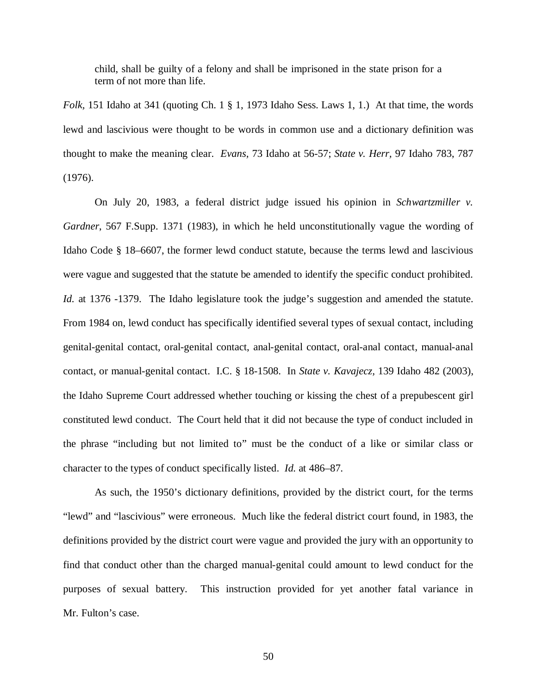child, shall be guilty of a felony and shall be imprisoned in the state prison for a term of not more than life.

*Folk,* 151 Idaho at 341 (quoting Ch. 1 § 1, 1973 Idaho Sess. Laws 1, 1.) At that time, the words lewd and lascivious were thought to be words in common use and a dictionary definition was thought to make the meaning clear. *Evans,* 73 Idaho at 56-57; *State v. Herr,* 97 Idaho 783, 787 (1976).

On July 20, 1983, a federal district judge issued his opinion in *Schwartzmiller v. Gardner*, 567 F.Supp. 1371 (1983), in which he held unconstitutionally vague the wording of Idaho Code § 18–6607, the former lewd conduct statute, because the terms lewd and lascivious were vague and suggested that the statute be amended to identify the specific conduct prohibited. *Id.* at 1376 -1379. The Idaho legislature took the judge's suggestion and amended the statute. From 1984 on, lewd conduct has specifically identified several types of sexual contact, including genital-genital contact, oral-genital contact, anal-genital contact, oral-anal contact, manual-anal contact, or manual-genital contact. [I.C. § 18-1508.](http://web2.westlaw.com/find/default.wl?tf=-1&rs=WLW9.04&ifm=NotSet&fn=_top&sv=Split&docname=IDSTS18-1508&tc=-1&pbc=9475A505&ordoc=2014266267&findtype=L&db=1000007&vr=2.0&rp=%2ffind%2fdefault.wl&mt=39) In *State v. Kavajecz,* 139 Idaho 482 (2003), the Idaho Supreme Court addressed whether touching or kissing the chest of a prepubescent girl constituted lewd conduct. The Court held that it did not because the type of conduct included in the phrase "including but not limited to" must be the conduct of a like or similar class or character to the types of conduct specifically listed. *Id.* at 486–87.

As such, the 1950's dictionary definitions, provided by the district court, for the terms "lewd" and "lascivious" were erroneous. Much like the federal district court found, in 1983, the definitions provided by the district court were vague and provided the jury with an opportunity to find that conduct other than the charged manual-genital could amount to lewd conduct for the purposes of sexual battery. This instruction provided for yet another fatal variance in Mr. Fulton's case.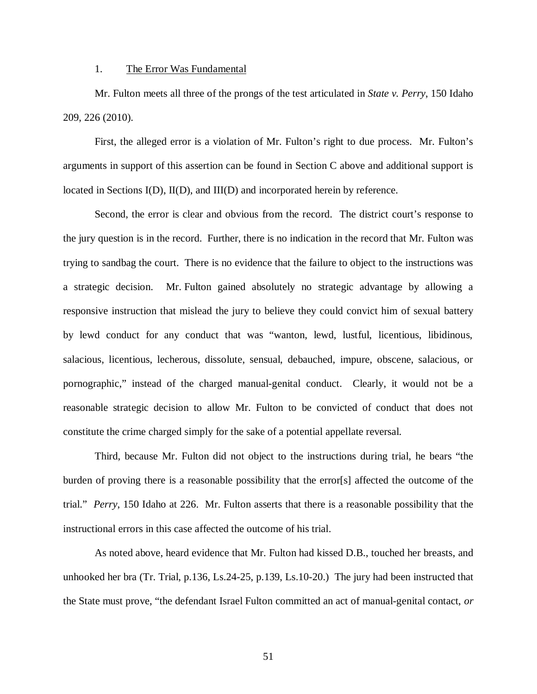#### 1. The Error Was Fundamental

Mr. Fulton meets all three of the prongs of the test articulated in *State v. Perry*, 150 Idaho 209, 226 (2010).

First, the alleged error is a violation of Mr. Fulton's right to due process. Mr. Fulton's arguments in support of this assertion can be found in Section C above and additional support is located in Sections I(D), II(D), and III(D) and incorporated herein by reference.

Second, the error is clear and obvious from the record. The district court's response to the jury question is in the record. Further, there is no indication in the record that Mr. Fulton was trying to sandbag the court. There is no evidence that the failure to object to the instructions was a strategic decision. Mr. Fulton gained absolutely no strategic advantage by allowing a responsive instruction that mislead the jury to believe they could convict him of sexual battery by lewd conduct for any conduct that was "wanton, lewd, lustful, licentious, libidinous, salacious, licentious, lecherous, dissolute, sensual, debauched, impure, obscene, salacious, or pornographic," instead of the charged manual-genital conduct. Clearly, it would not be a reasonable strategic decision to allow Mr. Fulton to be convicted of conduct that does not constitute the crime charged simply for the sake of a potential appellate reversal.

Third, because Mr. Fulton did not object to the instructions during trial, he bears "the burden of proving there is a reasonable possibility that the error[s] affected the outcome of the trial." *Perry*, 150 Idaho at 226. Mr. Fulton asserts that there is a reasonable possibility that the instructional errors in this case affected the outcome of his trial.

As noted above, heard evidence that Mr. Fulton had kissed D.B., touched her breasts, and unhooked her bra (Tr. Trial, p.136, Ls.24-25, p.139, Ls.10-20.) The jury had been instructed that the State must prove, "the defendant Israel Fulton committed an act of manual-genital contact, *or*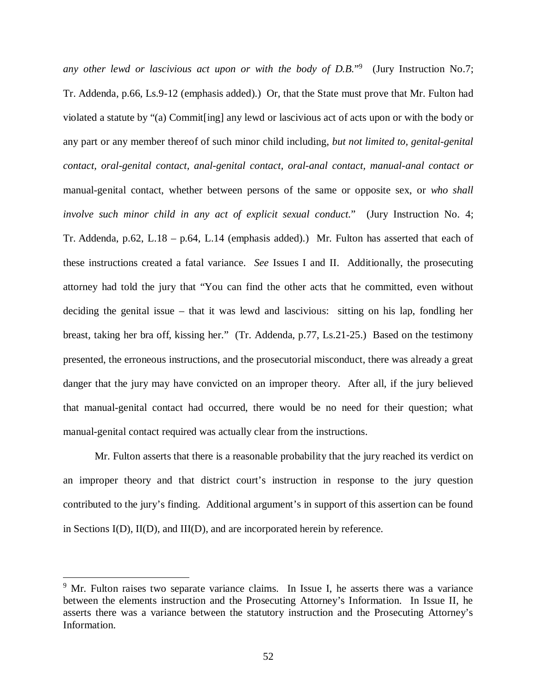any other lewd or lascivious act upon or with the body of D.B."<sup>[9](#page-61-0)</sup> (Jury Instruction No.7; Tr. Addenda, p.66, Ls.9-12 (emphasis added).) Or, that the State must prove that Mr. Fulton had violated a statute by "(a) Commit[ing] any lewd or lascivious act of acts upon or with the body or any part or any member thereof of such minor child including, *but not limited to, genital-genital contact, oral-genital contact, anal-genital contact, oral-anal contact, manual-anal contact or* manual-genital contact, whether between persons of the same or opposite sex, or *who shall involve such minor child in any act of explicit sexual conduct.*" (Jury Instruction No. 4; Tr. Addenda, p.62, L.18 – p.64, L.14 (emphasis added).) Mr. Fulton has asserted that each of these instructions created a fatal variance. *See* Issues I and II. Additionally, the prosecuting attorney had told the jury that "You can find the other acts that he committed, even without deciding the genital issue – that it was lewd and lascivious: sitting on his lap, fondling her breast, taking her bra off, kissing her." (Tr. Addenda, p.77, Ls.21-25.) Based on the testimony presented, the erroneous instructions, and the prosecutorial misconduct, there was already a great danger that the jury may have convicted on an improper theory. After all, if the jury believed that manual-genital contact had occurred, there would be no need for their question; what manual-genital contact required was actually clear from the instructions.

Mr. Fulton asserts that there is a reasonable probability that the jury reached its verdict on an improper theory and that district court's instruction in response to the jury question contributed to the jury's finding. Additional argument's in support of this assertion can be found in Sections I(D), II(D), and III(D), and are incorporated herein by reference.

<span id="page-61-0"></span><sup>&</sup>lt;sup>9</sup> Mr. Fulton raises two separate variance claims. In Issue I, he asserts there was a variance between the elements instruction and the Prosecuting Attorney's Information. In Issue II, he asserts there was a variance between the statutory instruction and the Prosecuting Attorney's Information.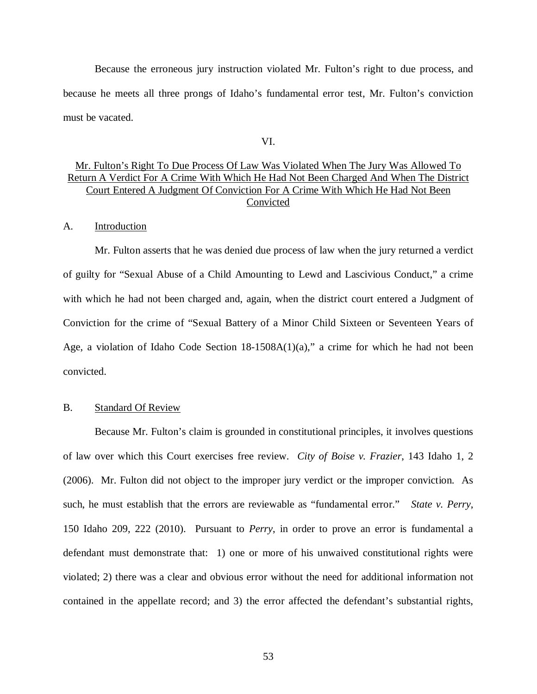Because the erroneous jury instruction violated Mr. Fulton's right to due process, and because he meets all three prongs of Idaho's fundamental error test, Mr. Fulton's conviction must be vacated.

VI.

## Mr. Fulton's Right To Due Process Of Law Was Violated When The Jury Was Allowed To Return A Verdict For A Crime With Which He Had Not Been Charged And When The District Court Entered A Judgment Of Conviction For A Crime With Which He Had Not Been Convicted

### A. Introduction

Mr. Fulton asserts that he was denied due process of law when the jury returned a verdict of guilty for "Sexual Abuse of a Child Amounting to Lewd and Lascivious Conduct," a crime with which he had not been charged and, again, when the district court entered a Judgment of Conviction for the crime of "Sexual Battery of a Minor Child Sixteen or Seventeen Years of Age, a violation of Idaho Code Section 18-1508A(1)(a)," a crime for which he had not been convicted.

### B. Standard Of Review

Because Mr. Fulton's claim is grounded in constitutional principles, it involves questions of law over which this Court exercises free review. *City of Boise v. Frazier*, 143 Idaho 1, 2 (2006). Mr. Fulton did not object to the improper jury verdict or the improper conviction. As such, he must establish that the errors are reviewable as "fundamental error." *State v. Perry*, 150 Idaho 209, 222 (2010). Pursuant to *Perry*, in order to prove an error is fundamental a defendant must demonstrate that: 1) one or more of his unwaived constitutional rights were violated; 2) there was a clear and obvious error without the need for additional information not contained in the appellate record; and 3) the error affected the defendant's substantial rights,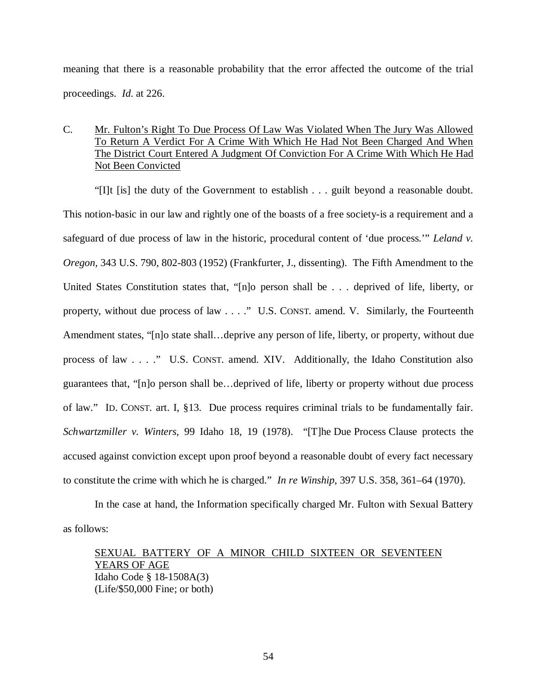meaning that there is a reasonable probability that the error affected the outcome of the trial proceedings. *Id*. at 226.

# C. Mr. Fulton's Right To Due Process Of Law Was Violated When The Jury Was Allowed To Return A Verdict For A Crime With Which He Had Not Been Charged And When The District Court Entered A Judgment Of Conviction For A Crime With Which He Had Not Been Convicted

"[I]t [is] the duty of the Government to establish . . . guilt beyond a reasonable doubt. This notion-basic in our law and rightly one of the boasts of a free society-is a requirement and a safeguard of due process of law in the historic, procedural content of 'due process.'" *Leland v. Oregon,* 343 U.S. 790, 802-803 (1952) (Frankfurter, J., dissenting). The Fifth Amendment to the United States Constitution states that, "[n]o person shall be . . . deprived of life, liberty, or property, without due process of law . . . ." U.S. CONST. amend. V. Similarly, the Fourteenth Amendment states, "[n]o state shall…deprive any person of life, liberty, or property, without due process of law . . . ." U.S. CONST. amend. XIV. Additionally, the Idaho Constitution also guarantees that, "[n]o person shall be…deprived of life, liberty or property without due process of law." ID. CONST. art. I, §13. Due process requires criminal trials to be fundamentally fair. *Schwartzmiller v. Winters,* 99 Idaho 18, 19 (1978). "[T]he Due Process Clause protects the accused against conviction except upon proof beyond a reasonable doubt of every fact necessary to constitute the crime with which he is charged." *In re Winship*, 397 U.S. 358, 361–64 (1970).

In the case at hand, the Information specifically charged Mr. Fulton with Sexual Battery as follows:

# SEXUAL BATTERY OF A MINOR CHILD SIXTEEN OR SEVENTEEN YEARS OF AGE Idaho Code § 18-1508A(3) (Life/\$50,000 Fine; or both)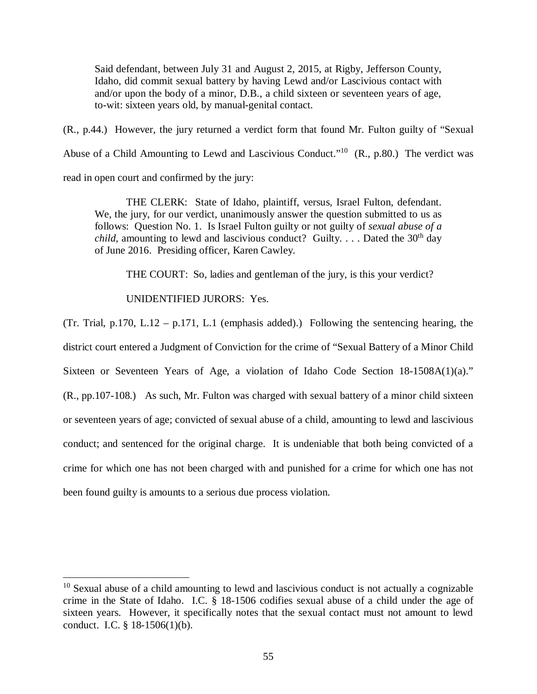Said defendant, between July 31 and August 2, 2015, at Rigby, Jefferson County, Idaho, did commit sexual battery by having Lewd and/or Lascivious contact with and/or upon the body of a minor, D.B., a child sixteen or seventeen years of age, to-wit: sixteen years old, by manual-genital contact.

(R., p.44.) However, the jury returned a verdict form that found Mr. Fulton guilty of "Sexual Abuse of a Child Amounting to Lewd and Lascivious Conduct."<sup>[10](#page-64-0)</sup>  $(R., p.80.)$  The verdict was read in open court and confirmed by the jury:

THE CLERK: State of Idaho, plaintiff, versus, Israel Fulton, defendant. We, the jury, for our verdict, unanimously answer the question submitted to us as follows: Question No. 1. Is Israel Fulton guilty or not guilty of *sexual abuse of a child*, amounting to lewd and lascivious conduct? Guilty. . . . Dated the  $30<sup>th</sup>$  day of June 2016. Presiding officer, Karen Cawley.

THE COURT: So, ladies and gentleman of the jury, is this your verdict?

## UNIDENTIFIED JURORS: Yes.

(Tr. Trial, p.170, L.12 – p.171, L.1 (emphasis added).) Following the sentencing hearing, the district court entered a Judgment of Conviction for the crime of "Sexual Battery of a Minor Child Sixteen or Seventeen Years of Age, a violation of Idaho Code Section 18-1508A(1)(a)." (R., pp.107-108.) As such, Mr. Fulton was charged with sexual battery of a minor child sixteen or seventeen years of age; convicted of sexual abuse of a child, amounting to lewd and lascivious conduct; and sentenced for the original charge. It is undeniable that both being convicted of a crime for which one has not been charged with and punished for a crime for which one has not been found guilty is amounts to a serious due process violation.

<span id="page-64-0"></span> $10$  Sexual abuse of a child amounting to lewd and lascivious conduct is not actually a cognizable crime in the State of Idaho. I.C. § 18-1506 codifies sexual abuse of a child under the age of sixteen years. However, it specifically notes that the sexual contact must not amount to lewd conduct. I.C. § 18-1506(1)(b).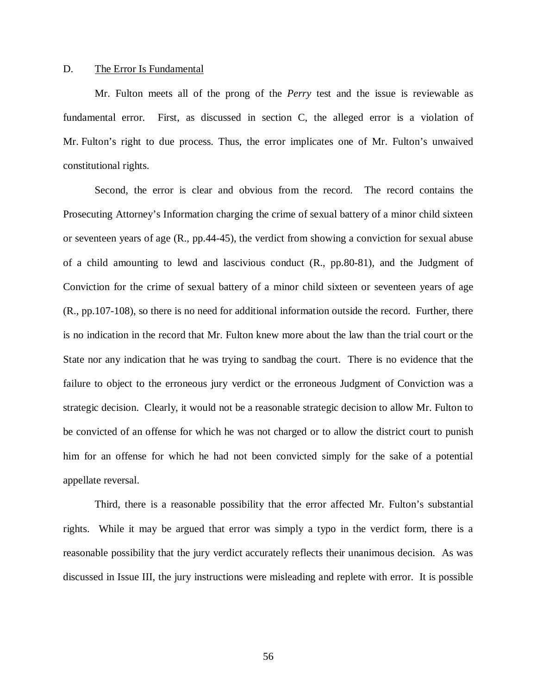### D. The Error Is Fundamental

Mr. Fulton meets all of the prong of the *Perry* test and the issue is reviewable as fundamental error. First, as discussed in section C, the alleged error is a violation of Mr. Fulton's right to due process. Thus, the error implicates one of Mr. Fulton's unwaived constitutional rights.

Second, the error is clear and obvious from the record. The record contains the Prosecuting Attorney's Information charging the crime of sexual battery of a minor child sixteen or seventeen years of age (R., pp.44-45), the verdict from showing a conviction for sexual abuse of a child amounting to lewd and lascivious conduct (R., pp.80-81), and the Judgment of Conviction for the crime of sexual battery of a minor child sixteen or seventeen years of age (R., pp.107-108), so there is no need for additional information outside the record. Further, there is no indication in the record that Mr. Fulton knew more about the law than the trial court or the State nor any indication that he was trying to sandbag the court. There is no evidence that the failure to object to the erroneous jury verdict or the erroneous Judgment of Conviction was a strategic decision. Clearly, it would not be a reasonable strategic decision to allow Mr. Fulton to be convicted of an offense for which he was not charged or to allow the district court to punish him for an offense for which he had not been convicted simply for the sake of a potential appellate reversal.

Third, there is a reasonable possibility that the error affected Mr. Fulton's substantial rights. While it may be argued that error was simply a typo in the verdict form, there is a reasonable possibility that the jury verdict accurately reflects their unanimous decision. As was discussed in Issue III, the jury instructions were misleading and replete with error. It is possible

56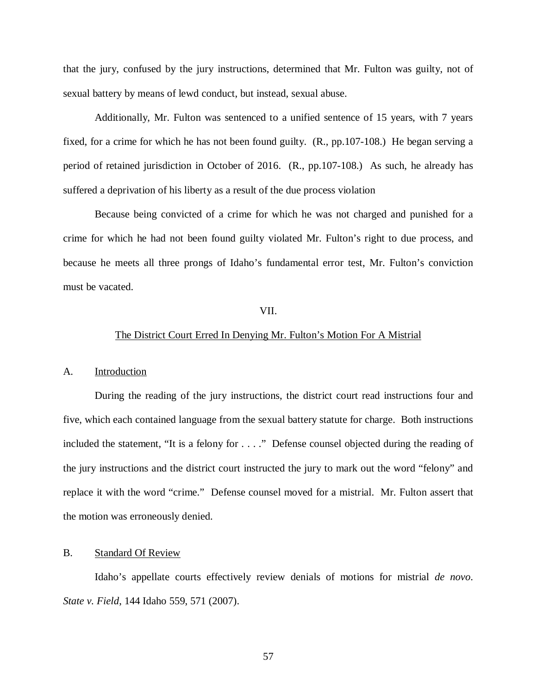that the jury, confused by the jury instructions, determined that Mr. Fulton was guilty, not of sexual battery by means of lewd conduct, but instead, sexual abuse.

Additionally, Mr. Fulton was sentenced to a unified sentence of 15 years, with 7 years fixed, for a crime for which he has not been found guilty. (R., pp.107-108.) He began serving a period of retained jurisdiction in October of 2016. (R., pp.107-108.) As such, he already has suffered a deprivation of his liberty as a result of the due process violation

Because being convicted of a crime for which he was not charged and punished for a crime for which he had not been found guilty violated Mr. Fulton's right to due process, and because he meets all three prongs of Idaho's fundamental error test, Mr. Fulton's conviction must be vacated.

### VII.

### The District Court Erred In Denying Mr. Fulton's Motion For A Mistrial

#### A. Introduction

During the reading of the jury instructions, the district court read instructions four and five, which each contained language from the sexual battery statute for charge. Both instructions included the statement, "It is a felony for . . . ." Defense counsel objected during the reading of the jury instructions and the district court instructed the jury to mark out the word "felony" and replace it with the word "crime." Defense counsel moved for a mistrial. Mr. Fulton assert that the motion was erroneously denied.

#### B. Standard Of Review

Idaho's appellate courts effectively review denials of motions for mistrial *de novo*. *State v. Field*, 144 Idaho 559, 571 (2007).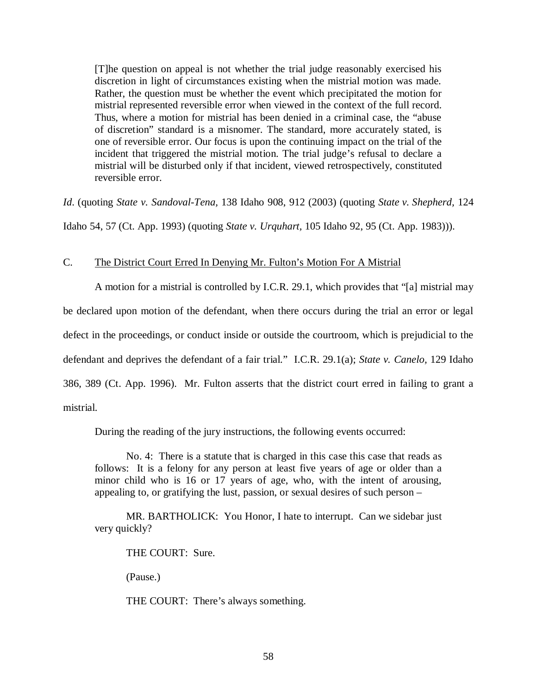[T]he question on appeal is not whether the trial judge reasonably exercised his discretion in light of circumstances existing when the mistrial motion was made. Rather, the question must be whether the event which precipitated the motion for mistrial represented reversible error when viewed in the context of the full record. Thus, where a motion for mistrial has been denied in a criminal case, the "abuse of discretion" standard is a misnomer. The standard, more accurately stated, is one of reversible error. Our focus is upon the continuing impact on the trial of the incident that triggered the mistrial motion. The trial judge's refusal to declare a mistrial will be disturbed only if that incident, viewed retrospectively, constituted reversible error.

*Id*. (quoting *State v. Sandoval-Tena,* 138 Idaho 908, 912 (2003) (quoting *State v. Shepherd,* 124 Idaho 54, 57 (Ct. App. 1993) (quoting *State v. Urquhart,* 105 Idaho 92, 95 (Ct. App. 1983))).

### C. The District Court Erred In Denying Mr. Fulton's Motion For A Mistrial

A motion for a mistrial is controlled by I.C.R. 29.1, which provides that "[a] mistrial may be declared upon motion of the defendant, when there occurs during the trial an error or legal defect in the proceedings, or conduct inside or outside the courtroom, which is prejudicial to the defendant and deprives the defendant of a fair trial." I.C.R. 29.1(a); *State v. Canelo,* 129 Idaho 386, 389 (Ct. App. 1996). Mr. Fulton asserts that the district court erred in failing to grant a mistrial.

During the reading of the jury instructions, the following events occurred:

No. 4: There is a statute that is charged in this case this case that reads as follows: It is a felony for any person at least five years of age or older than a minor child who is 16 or 17 years of age, who, with the intent of arousing, appealing to, or gratifying the lust, passion, or sexual desires of such person –

MR. BARTHOLICK: You Honor, I hate to interrupt. Can we sidebar just very quickly?

THE COURT: Sure.

(Pause.)

THE COURT: There's always something.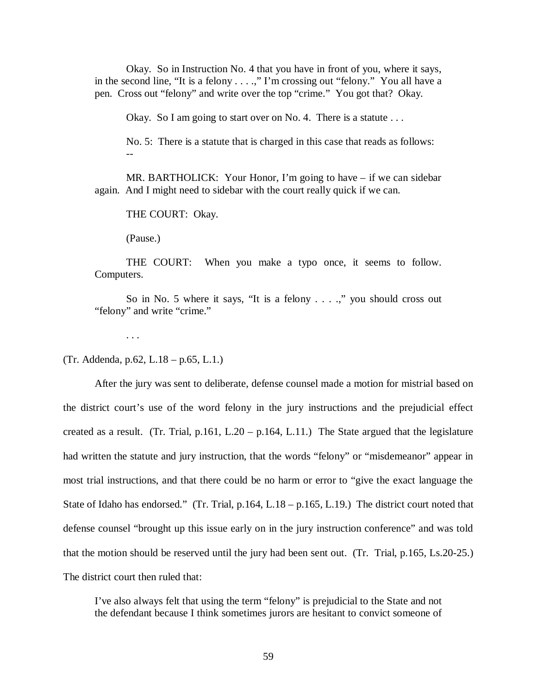Okay. So in Instruction No. 4 that you have in front of you, where it says, in the second line, "It is a felony . . . .," I'm crossing out "felony." You all have a pen. Cross out "felony" and write over the top "crime." You got that? Okay.

Okay. So I am going to start over on No. 4. There is a statute . . .

No. 5: There is a statute that is charged in this case that reads as follows: --

MR. BARTHOLICK: Your Honor, I'm going to have – if we can sidebar again. And I might need to sidebar with the court really quick if we can.

THE COURT: Okay.

(Pause.)

THE COURT: When you make a typo once, it seems to follow. Computers.

So in No. 5 where it says, "It is a felony . . . .," you should cross out "felony" and write "crime."

. . .

(Tr. Addenda, p.62, L.18 – p.65, L.1.)

After the jury was sent to deliberate, defense counsel made a motion for mistrial based on the district court's use of the word felony in the jury instructions and the prejudicial effect created as a result. (Tr. Trial, p.161, L.20 – p.164, L.11.) The State argued that the legislature had written the statute and jury instruction, that the words "felony" or "misdemeanor" appear in most trial instructions, and that there could be no harm or error to "give the exact language the State of Idaho has endorsed." (Tr. Trial, p.164, L.18 – p.165, L.19.) The district court noted that defense counsel "brought up this issue early on in the jury instruction conference" and was told that the motion should be reserved until the jury had been sent out. (Tr. Trial, p.165, Ls.20-25.) The district court then ruled that:

I've also always felt that using the term "felony" is prejudicial to the State and not the defendant because I think sometimes jurors are hesitant to convict someone of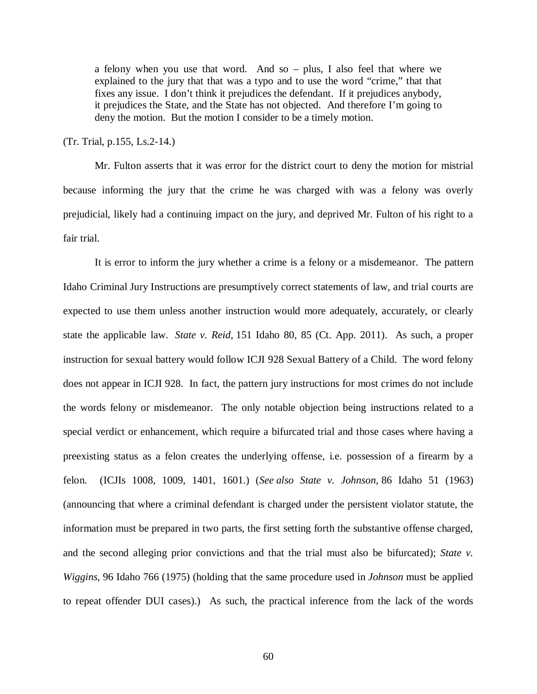a felony when you use that word. And so – plus, I also feel that where we explained to the jury that that was a typo and to use the word "crime," that that fixes any issue. I don't think it prejudices the defendant. If it prejudices anybody, it prejudices the State, and the State has not objected. And therefore I'm going to deny the motion. But the motion I consider to be a timely motion.

(Tr. Trial, p.155, Ls.2-14.)

Mr. Fulton asserts that it was error for the district court to deny the motion for mistrial because informing the jury that the crime he was charged with was a felony was overly prejudicial, likely had a continuing impact on the jury, and deprived Mr. Fulton of his right to a fair trial.

It is error to inform the jury whether a crime is a felony or a misdemeanor. The pattern Idaho Criminal Jury Instructions are presumptively correct statements of law, and trial courts are expected to use them unless another instruction would more adequately, accurately, or clearly state the applicable law. *State v. Reid,* 151 Idaho 80, 85 (Ct. App. 2011). As such, a proper instruction for sexual battery would follow ICJI 928 Sexual Battery of a Child. The word felony does not appear in ICJI 928. In fact, the pattern jury instructions for most crimes do not include the words felony or misdemeanor. The only notable objection being instructions related to a special verdict or enhancement, which require a bifurcated trial and those cases where having a preexisting status as a felon creates the underlying offense, i.e. possession of a firearm by a felon. (ICJIs 1008, 1009, 1401, 1601.) (*See also State v. Johnson,* 86 Idaho 51 (1963) (announcing that where a criminal defendant is charged under the persistent violator statute, the information must be prepared in two parts, the first setting forth the substantive offense charged, and the second alleging prior convictions and that the trial must also be bifurcated); *State v. Wiggins,* 96 Idaho 766 (1975) (holding that the same procedure used in *Johnson* must be applied to repeat offender DUI cases).) As such, the practical inference from the lack of the words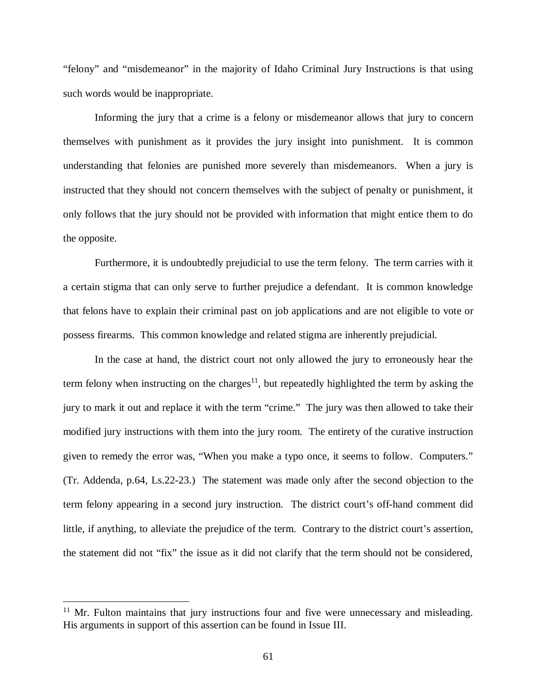"felony" and "misdemeanor" in the majority of Idaho Criminal Jury Instructions is that using such words would be inappropriate.

Informing the jury that a crime is a felony or misdemeanor allows that jury to concern themselves with punishment as it provides the jury insight into punishment. It is common understanding that felonies are punished more severely than misdemeanors. When a jury is instructed that they should not concern themselves with the subject of penalty or punishment, it only follows that the jury should not be provided with information that might entice them to do the opposite.

Furthermore, it is undoubtedly prejudicial to use the term felony. The term carries with it a certain stigma that can only serve to further prejudice a defendant. It is common knowledge that felons have to explain their criminal past on job applications and are not eligible to vote or possess firearms. This common knowledge and related stigma are inherently prejudicial.

In the case at hand, the district court not only allowed the jury to erroneously hear the term felony when instructing on the charges<sup>[11](#page-70-0)</sup>, but repeatedly highlighted the term by asking the jury to mark it out and replace it with the term "crime." The jury was then allowed to take their modified jury instructions with them into the jury room. The entirety of the curative instruction given to remedy the error was, "When you make a typo once, it seems to follow. Computers." (Tr. Addenda, p.64, Ls.22-23.) The statement was made only after the second objection to the term felony appearing in a second jury instruction. The district court's off-hand comment did little, if anything, to alleviate the prejudice of the term. Contrary to the district court's assertion, the statement did not "fix" the issue as it did not clarify that the term should not be considered,

<span id="page-70-0"></span> $11$  Mr. Fulton maintains that jury instructions four and five were unnecessary and misleading. His arguments in support of this assertion can be found in Issue III.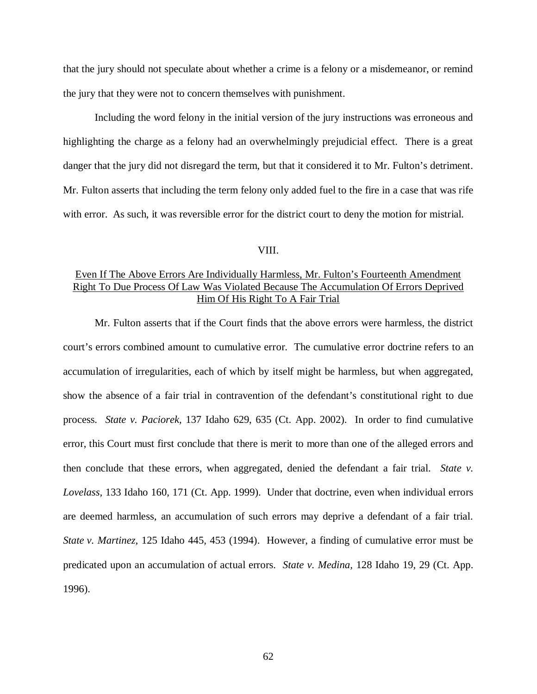that the jury should not speculate about whether a crime is a felony or a misdemeanor, or remind the jury that they were not to concern themselves with punishment.

Including the word felony in the initial version of the jury instructions was erroneous and highlighting the charge as a felony had an overwhelmingly prejudicial effect. There is a great danger that the jury did not disregard the term, but that it considered it to Mr. Fulton's detriment. Mr. Fulton asserts that including the term felony only added fuel to the fire in a case that was rife with error. As such, it was reversible error for the district court to deny the motion for mistrial.

#### VIII.

# Even If The Above Errors Are Individually Harmless, Mr. Fulton's Fourteenth Amendment Right To Due Process Of Law Was Violated Because The Accumulation Of Errors Deprived Him Of His Right To A Fair Trial

Mr. Fulton asserts that if the Court finds that the above errors were harmless, the district court's errors combined amount to cumulative error. The cumulative error doctrine refers to an accumulation of irregularities, each of which by itself might be harmless, but when aggregated, show the absence of a fair trial in contravention of the defendant's constitutional right to due process. *State v. Paciorek,* 137 Idaho 629, 635 (Ct. App. 2002). In order to find cumulative error, this Court must first conclude that there is merit to more than one of the alleged errors and then conclude that these errors, when aggregated, denied the defendant a fair trial. *State v. Lovelass,* 133 Idaho 160, 171 (Ct. App. 1999). Under that doctrine, even when individual errors are deemed harmless, an accumulation of such errors may deprive a defendant of a fair trial. *State v. Martinez,* 125 Idaho 445, 453 (1994). However, a finding of cumulative error must be predicated upon an accumulation of actual errors. *State v. Medina,* 128 Idaho 19, 29 (Ct. App. 1996).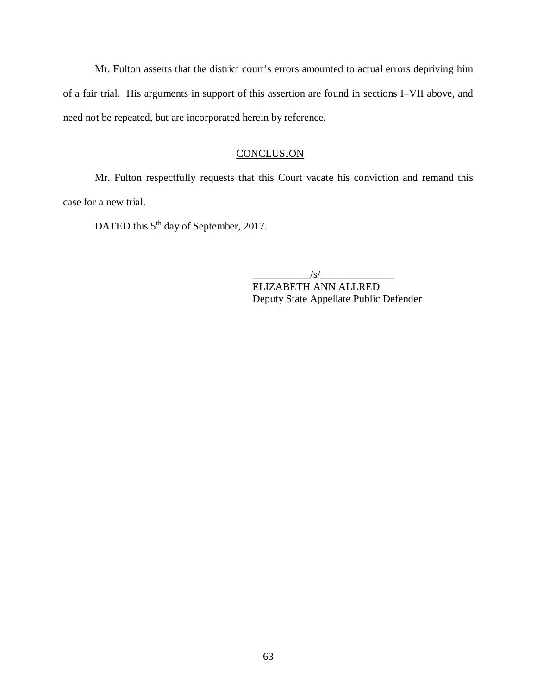Mr. Fulton asserts that the district court's errors amounted to actual errors depriving him of a fair trial. His arguments in support of this assertion are found in sections I–VII above, and need not be repeated, but are incorporated herein by reference.

## **CONCLUSION**

Mr. Fulton respectfully requests that this Court vacate his conviction and remand this case for a new trial.

DATED this 5<sup>th</sup> day of September, 2017.

 $\frac{1}{s}$ 

ELIZABETH ANN ALLRED Deputy State Appellate Public Defender